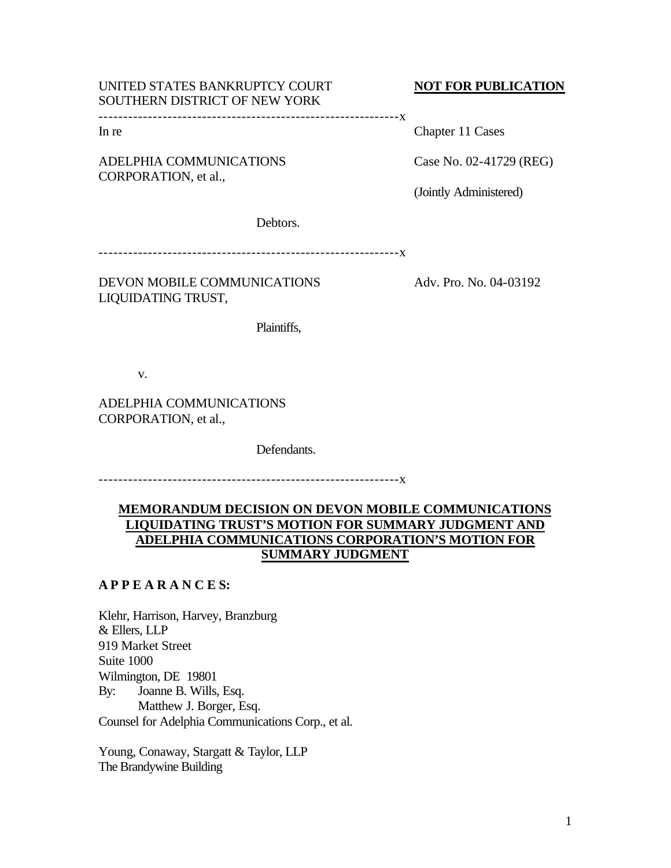# UNITED STATES BANKRUPTCY COURT **NOT FOR PUBLICATION** SOUTHERN DISTRICT OF NEW YORK

-------------------------------------------------------------x

ADELPHIA COMMUNICATIONS Case No. 02-41729 (REG) CORPORATION, et al.,

In re Chapter 11 Cases

(Jointly Administered)

Debtors.

-------------------------------------------------------------x

DEVON MOBILE COMMUNICATIONS Adv. Pro. No. 04-03192 LIQUIDATING TRUST,

Plaintiffs,

v.

ADELPHIA COMMUNICATIONS CORPORATION, et al.,

Defendants.

-------------------------------------------------------------x

# **MEMORANDUM DECISION ON DEVON MOBILE COMMUNICATIONS LIQUIDATING TRUST'S MOTION FOR SUMMARY JUDGMENT AND ADELPHIA COMMUNICATIONS CORPORATION'S MOTION FOR SUMMARY JUDGMENT**

# **A P P E A R A N C E S:**

Klehr, Harrison, Harvey, Branzburg & Ellers, LLP 919 Market Street Suite 1000 Wilmington, DE 19801 By: Joanne B. Wills, Esq. Matthew J. Borger, Esq. Counsel for Adelphia Communications Corp., et al.

Young, Conaway, Stargatt & Taylor, LLP The Brandywine Building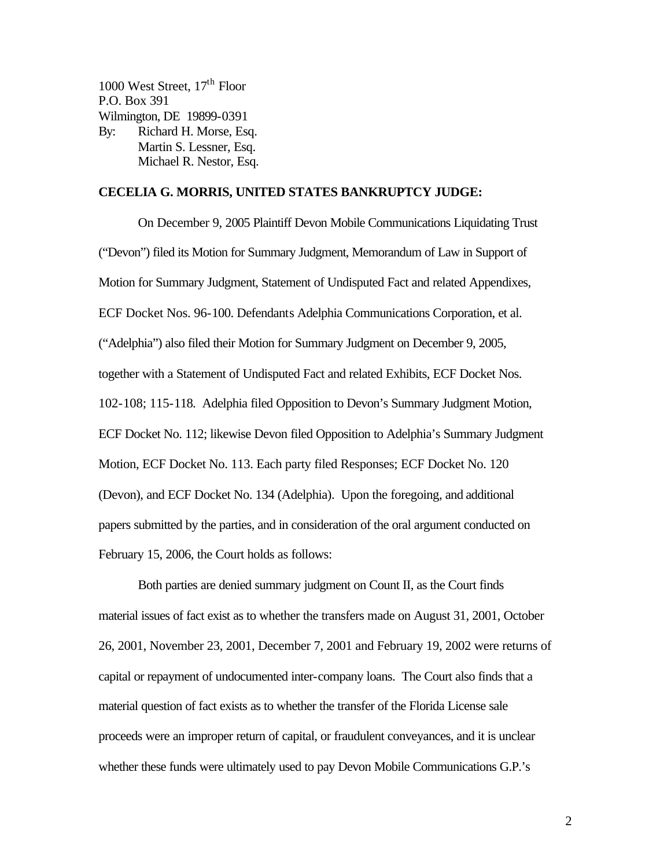1000 West Street,  $17<sup>th</sup>$  Floor P.O. Box 391 Wilmington, DE 19899-0391 By: Richard H. Morse, Esq. Martin S. Lessner, Esq. Michael R. Nestor, Esq.

## **CECELIA G. MORRIS, UNITED STATES BANKRUPTCY JUDGE:**

On December 9, 2005 Plaintiff Devon Mobile Communications Liquidating Trust ("Devon") filed its Motion for Summary Judgment, Memorandum of Law in Support of Motion for Summary Judgment, Statement of Undisputed Fact and related Appendixes, ECF Docket Nos. 96-100. Defendants Adelphia Communications Corporation, et al. ("Adelphia") also filed their Motion for Summary Judgment on December 9, 2005, together with a Statement of Undisputed Fact and related Exhibits, ECF Docket Nos. 102-108; 115-118. Adelphia filed Opposition to Devon's Summary Judgment Motion, ECF Docket No. 112; likewise Devon filed Opposition to Adelphia's Summary Judgment Motion, ECF Docket No. 113. Each party filed Responses; ECF Docket No. 120 (Devon), and ECF Docket No. 134 (Adelphia). Upon the foregoing, and additional papers submitted by the parties, and in consideration of the oral argument conducted on February 15, 2006, the Court holds as follows:

Both parties are denied summary judgment on Count II, as the Court finds material issues of fact exist as to whether the transfers made on August 31, 2001, October 26, 2001, November 23, 2001, December 7, 2001 and February 19, 2002 were returns of capital or repayment of undocumented inter-company loans. The Court also finds that a material question of fact exists as to whether the transfer of the Florida License sale proceeds were an improper return of capital, or fraudulent conveyances, and it is unclear whether these funds were ultimately used to pay Devon Mobile Communications G.P.'s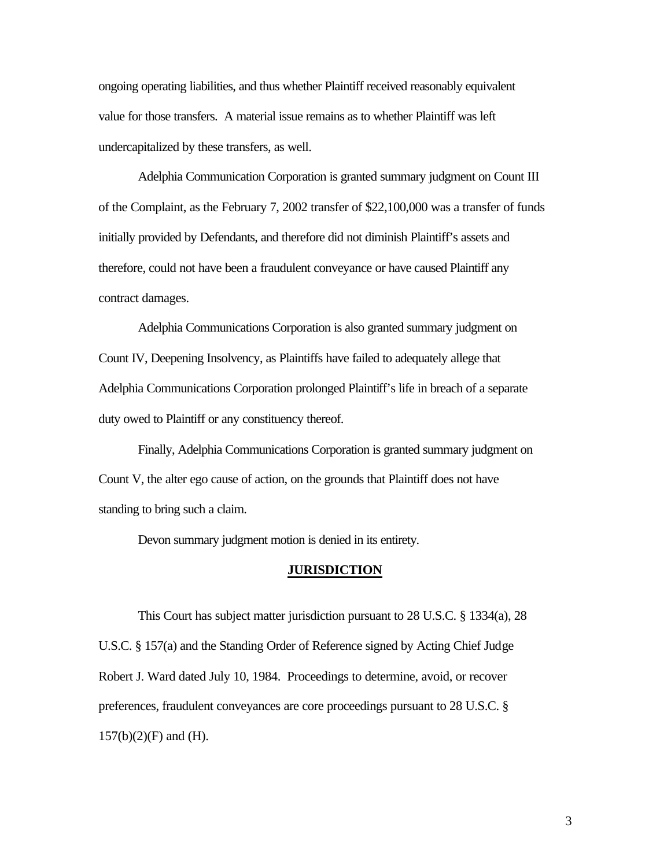ongoing operating liabilities, and thus whether Plaintiff received reasonably equivalent value for those transfers. A material issue remains as to whether Plaintiff was left undercapitalized by these transfers, as well.

Adelphia Communication Corporation is granted summary judgment on Count III of the Complaint, as the February 7, 2002 transfer of \$22,100,000 was a transfer of funds initially provided by Defendants, and therefore did not diminish Plaintiff's assets and therefore, could not have been a fraudulent conveyance or have caused Plaintiff any contract damages.

Adelphia Communications Corporation is also granted summary judgment on Count IV, Deepening Insolvency, as Plaintiffs have failed to adequately allege that Adelphia Communications Corporation prolonged Plaintiff's life in breach of a separate duty owed to Plaintiff or any constituency thereof.

Finally, Adelphia Communications Corporation is granted summary judgment on Count V, the alter ego cause of action, on the grounds that Plaintiff does not have standing to bring such a claim.

Devon summary judgment motion is denied in its entirety.

#### **JURISDICTION**

This Court has subject matter jurisdiction pursuant to 28 U.S.C. § 1334(a), 28 U.S.C. § 157(a) and the Standing Order of Reference signed by Acting Chief Judge Robert J. Ward dated July 10, 1984. Proceedings to determine, avoid, or recover preferences, fraudulent conveyances are core proceedings pursuant to 28 U.S.C. §  $157(b)(2)(F)$  and (H).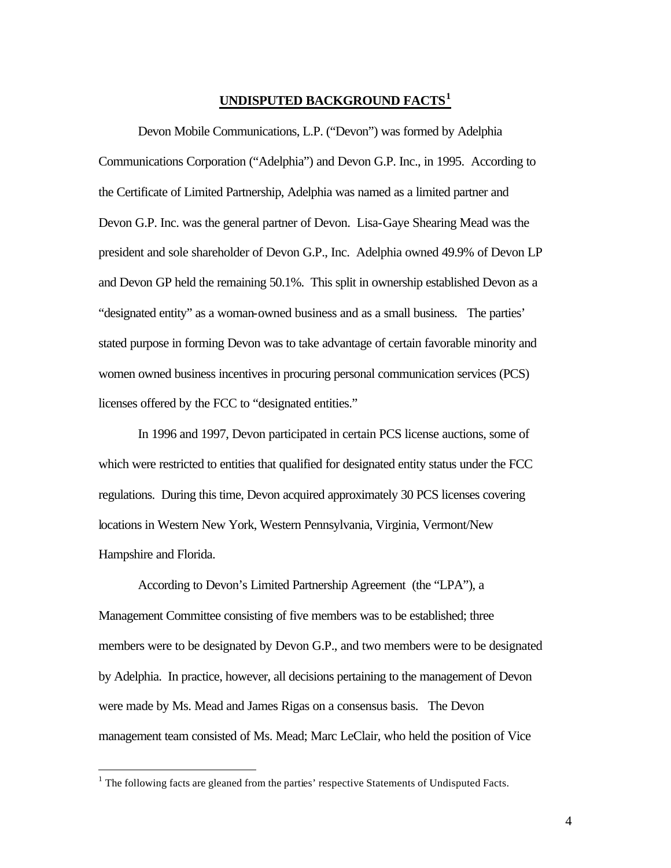# **UNDISPUTED BACKGROUND FACTS<sup>1</sup>**

Devon Mobile Communications, L.P. ("Devon") was formed by Adelphia Communications Corporation ("Adelphia") and Devon G.P. Inc., in 1995. According to the Certificate of Limited Partnership, Adelphia was named as a limited partner and Devon G.P. Inc. was the general partner of Devon. Lisa-Gaye Shearing Mead was the president and sole shareholder of Devon G.P., Inc. Adelphia owned 49.9% of Devon LP and Devon GP held the remaining 50.1%. This split in ownership established Devon as a "designated entity" as a woman-owned business and as a small business. The parties' stated purpose in forming Devon was to take advantage of certain favorable minority and women owned business incentives in procuring personal communication services (PCS) licenses offered by the FCC to "designated entities."

In 1996 and 1997, Devon participated in certain PCS license auctions, some of which were restricted to entities that qualified for designated entity status under the FCC regulations. During this time, Devon acquired approximately 30 PCS licenses covering locations in Western New York, Western Pennsylvania, Virginia, Vermont/New Hampshire and Florida.

According to Devon's Limited Partnership Agreement (the "LPA"), a Management Committee consisting of five members was to be established; three members were to be designated by Devon G.P., and two members were to be designated by Adelphia. In practice, however, all decisions pertaining to the management of Devon were made by Ms. Mead and James Rigas on a consensus basis. The Devon management team consisted of Ms. Mead; Marc LeClair, who held the position of Vice

 $\overline{a}$ 

 $<sup>1</sup>$  The following facts are gleaned from the parties' respective Statements of Undisputed Facts.</sup>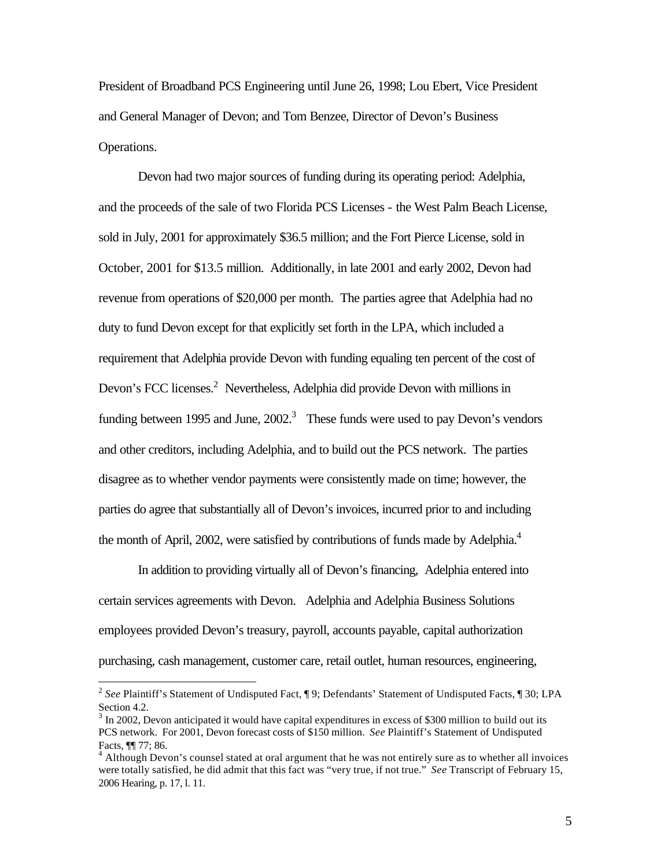President of Broadband PCS Engineering until June 26, 1998; Lou Ebert, Vice President and General Manager of Devon; and Tom Benzee, Director of Devon's Business Operations.

Devon had two major sources of funding during its operating period: Adelphia, and the proceeds of the sale of two Florida PCS Licenses - the West Palm Beach License, sold in July, 2001 for approximately \$36.5 million; and the Fort Pierce License, sold in October, 2001 for \$13.5 million. Additionally, in late 2001 and early 2002, Devon had revenue from operations of \$20,000 per month. The parties agree that Adelphia had no duty to fund Devon except for that explicitly set forth in the LPA, which included a requirement that Adelphia provide Devon with funding equaling ten percent of the cost of Devon's FCC licenses.<sup>2</sup> Nevertheless, Adelphia did provide Devon with millions in funding between 1995 and June,  $2002<sup>3</sup>$  These funds were used to pay Devon's vendors and other creditors, including Adelphia, and to build out the PCS network. The parties disagree as to whether vendor payments were consistently made on time; however, the parties do agree that substantially all of Devon's invoices, incurred prior to and including the month of April, 2002, were satisfied by contributions of funds made by Adelphia.<sup>4</sup>

In addition to providing virtually all of Devon's financing, Adelphia entered into certain services agreements with Devon. Adelphia and Adelphia Business Solutions employees provided Devon's treasury, payroll, accounts payable, capital authorization purchasing, cash management, customer care, retail outlet, human resources, engineering,

 $\overline{a}$ 

<sup>&</sup>lt;sup>2</sup> See Plaintiff's Statement of Undisputed Fact, ¶ 9; Defendants' Statement of Undisputed Facts, ¶ 30; LPA Section 4.2.

 $3 \text{ In } 2002$ , Devon anticipated it would have capital expenditures in excess of \$300 million to build out its PCS network. For 2001, Devon forecast costs of \$150 million. *See* Plaintiff's Statement of Undisputed Facts, ¶¶ 77; 86.

<sup>&</sup>lt;sup>4</sup> Although Devon's counsel stated at oral argument that he was not entirely sure as to whether all invoices were totally satisfied, he did admit that this fact was "very true, if not true." *See* Transcript of February 15, 2006 Hearing, p. 17, l. 11.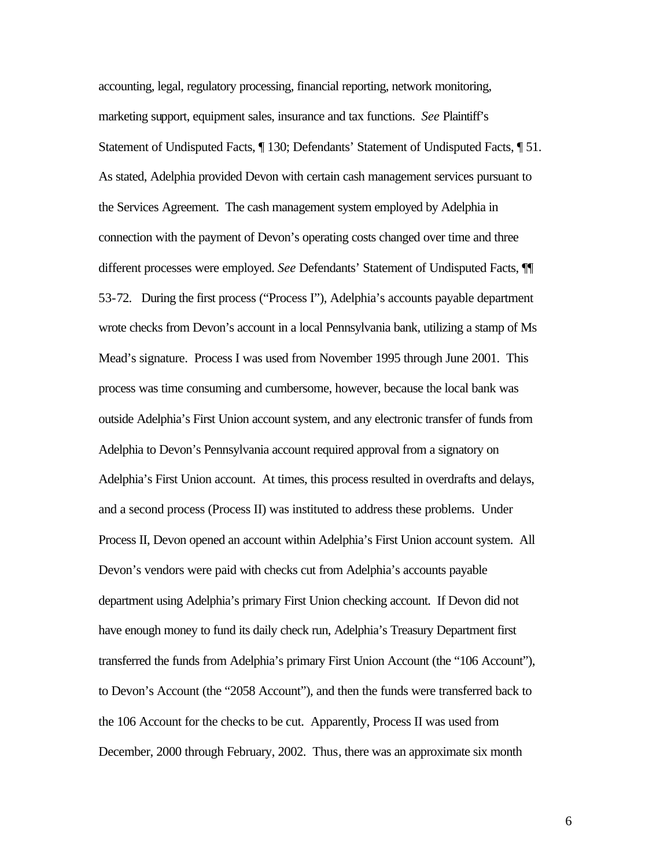accounting, legal, regulatory processing, financial reporting, network monitoring, marketing support, equipment sales, insurance and tax functions. *See* Plaintiff's Statement of Undisputed Facts, ¶ 130; Defendants' Statement of Undisputed Facts, ¶ 51. As stated, Adelphia provided Devon with certain cash management services pursuant to the Services Agreement. The cash management system employed by Adelphia in connection with the payment of Devon's operating costs changed over time and three different processes were employed. *See* Defendants' Statement of Undisputed Facts, ¶¶ 53-72. During the first process ("Process I"), Adelphia's accounts payable department wrote checks from Devon's account in a local Pennsylvania bank, utilizing a stamp of Ms Mead's signature. Process I was used from November 1995 through June 2001. This process was time consuming and cumbersome, however, because the local bank was outside Adelphia's First Union account system, and any electronic transfer of funds from Adelphia to Devon's Pennsylvania account required approval from a signatory on Adelphia's First Union account. At times, this process resulted in overdrafts and delays, and a second process (Process II) was instituted to address these problems. Under Process II, Devon opened an account within Adelphia's First Union account system. All Devon's vendors were paid with checks cut from Adelphia's accounts payable department using Adelphia's primary First Union checking account. If Devon did not have enough money to fund its daily check run, Adelphia's Treasury Department first transferred the funds from Adelphia's primary First Union Account (the "106 Account"), to Devon's Account (the "2058 Account"), and then the funds were transferred back to the 106 Account for the checks to be cut. Apparently, Process II was used from December, 2000 through February, 2002. Thus, there was an approximate six month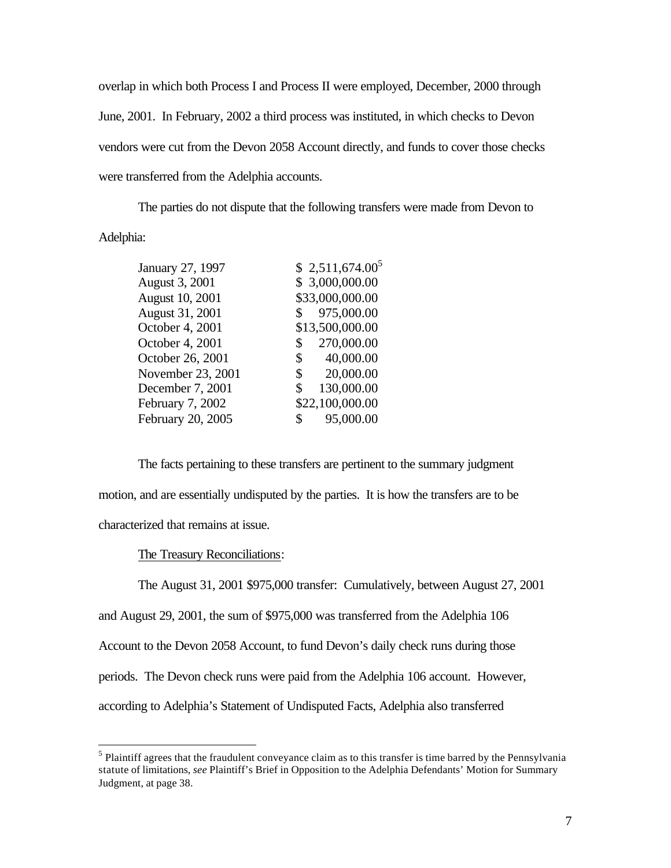overlap in which both Process I and Process II were employed, December, 2000 through June, 2001. In February, 2002 a third process was instituted, in which checks to Devon vendors were cut from the Devon 2058 Account directly, and funds to cover those checks were transferred from the Adelphia accounts.

The parties do not dispute that the following transfers were made from Devon to Adelphia:

| January 27, 1997  | \$2,511,674.00 <sup>5</sup> |
|-------------------|-----------------------------|
| August 3, 2001    | \$ 3,000,000.00             |
| August 10, 2001   | \$33,000,000.00             |
| August 31, 2001   | 975,000.00<br>\$            |
| October 4, 2001   | \$13,500,000.00             |
| October 4, 2001   | 270,000.00<br>\$            |
| October 26, 2001  | 40,000.00<br>\$             |
| November 23, 2001 | 20,000.00<br>\$             |
| December 7, 2001  | 130,000.00<br>\$            |
| February 7, 2002  | \$22,100,000.00             |
| February 20, 2005 | 95,000.00<br>\$             |
|                   |                             |

The facts pertaining to these transfers are pertinent to the summary judgment motion, and are essentially undisputed by the parties. It is how the transfers are to be characterized that remains at issue.

The Treasury Reconciliations:

 $\overline{a}$ 

The August 31, 2001 \$975,000 transfer: Cumulatively, between August 27, 2001 and August 29, 2001, the sum of \$975,000 was transferred from the Adelphia 106 Account to the Devon 2058 Account, to fund Devon's daily check runs during those periods. The Devon check runs were paid from the Adelphia 106 account. However, according to Adelphia's Statement of Undisputed Facts, Adelphia also transferred

 $<sup>5</sup>$  Plaintiff agrees that the fraudulent conveyance claim as to this transfer is time barred by the Pennsylvania</sup> statute of limitations, *see* Plaintiff's Brief in Opposition to the Adelphia Defendants' Motion for Summary Judgment, at page 38.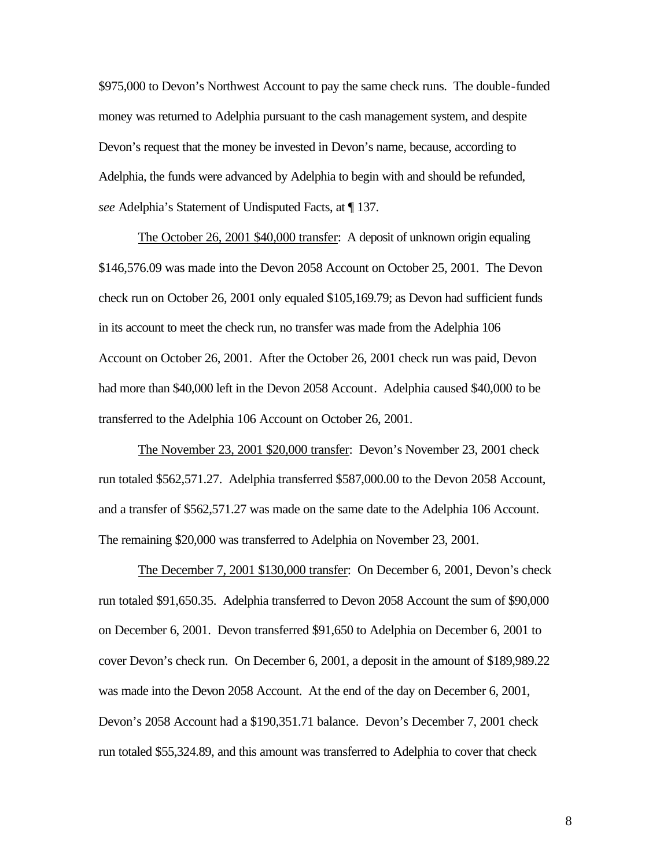\$975,000 to Devon's Northwest Account to pay the same check runs. The double-funded money was returned to Adelphia pursuant to the cash management system, and despite Devon's request that the money be invested in Devon's name, because, according to Adelphia, the funds were advanced by Adelphia to begin with and should be refunded, *see* Adelphia's Statement of Undisputed Facts, at ¶ 137.

The October 26, 2001 \$40,000 transfer: A deposit of unknown origin equaling \$146,576.09 was made into the Devon 2058 Account on October 25, 2001. The Devon check run on October 26, 2001 only equaled \$105,169.79; as Devon had sufficient funds in its account to meet the check run, no transfer was made from the Adelphia 106 Account on October 26, 2001. After the October 26, 2001 check run was paid, Devon had more than \$40,000 left in the Devon 2058 Account. Adelphia caused \$40,000 to be transferred to the Adelphia 106 Account on October 26, 2001.

The November 23, 2001 \$20,000 transfer: Devon's November 23, 2001 check run totaled \$562,571.27. Adelphia transferred \$587,000.00 to the Devon 2058 Account, and a transfer of \$562,571.27 was made on the same date to the Adelphia 106 Account. The remaining \$20,000 was transferred to Adelphia on November 23, 2001.

The December 7, 2001 \$130,000 transfer: On December 6, 2001, Devon's check run totaled \$91,650.35. Adelphia transferred to Devon 2058 Account the sum of \$90,000 on December 6, 2001. Devon transferred \$91,650 to Adelphia on December 6, 2001 to cover Devon's check run. On December 6, 2001, a deposit in the amount of \$189,989.22 was made into the Devon 2058 Account. At the end of the day on December 6, 2001, Devon's 2058 Account had a \$190,351.71 balance. Devon's December 7, 2001 check run totaled \$55,324.89, and this amount was transferred to Adelphia to cover that check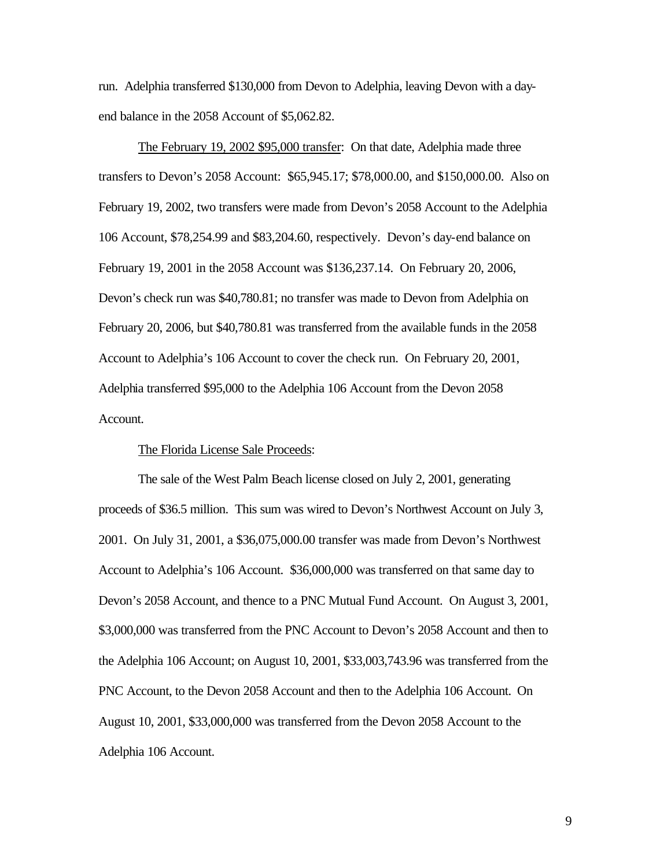run. Adelphia transferred \$130,000 from Devon to Adelphia, leaving Devon with a dayend balance in the 2058 Account of \$5,062.82.

The February 19, 2002 \$95,000 transfer: On that date, Adelphia made three transfers to Devon's 2058 Account: \$65,945.17; \$78,000.00, and \$150,000.00. Also on February 19, 2002, two transfers were made from Devon's 2058 Account to the Adelphia 106 Account, \$78,254.99 and \$83,204.60, respectively. Devon's day-end balance on February 19, 2001 in the 2058 Account was \$136,237.14. On February 20, 2006, Devon's check run was \$40,780.81; no transfer was made to Devon from Adelphia on February 20, 2006, but \$40,780.81 was transferred from the available funds in the 2058 Account to Adelphia's 106 Account to cover the check run. On February 20, 2001, Adelphia transferred \$95,000 to the Adelphia 106 Account from the Devon 2058 Account.

## The Florida License Sale Proceeds:

The sale of the West Palm Beach license closed on July 2, 2001, generating proceeds of \$36.5 million. This sum was wired to Devon's Northwest Account on July 3, 2001. On July 31, 2001, a \$36,075,000.00 transfer was made from Devon's Northwest Account to Adelphia's 106 Account. \$36,000,000 was transferred on that same day to Devon's 2058 Account, and thence to a PNC Mutual Fund Account. On August 3, 2001, \$3,000,000 was transferred from the PNC Account to Devon's 2058 Account and then to the Adelphia 106 Account; on August 10, 2001, \$33,003,743.96 was transferred from the PNC Account, to the Devon 2058 Account and then to the Adelphia 106 Account. On August 10, 2001, \$33,000,000 was transferred from the Devon 2058 Account to the Adelphia 106 Account.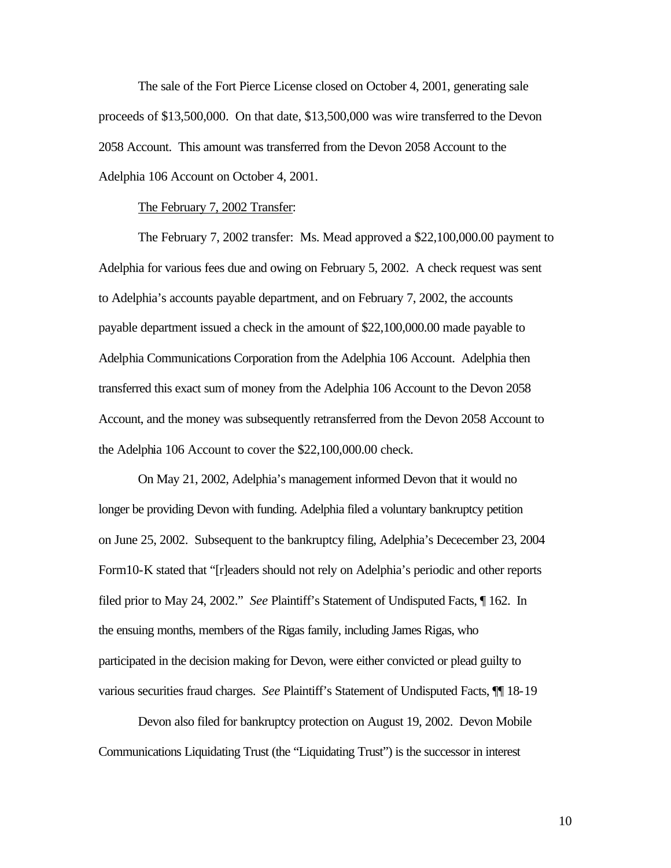The sale of the Fort Pierce License closed on October 4, 2001, generating sale proceeds of \$13,500,000. On that date, \$13,500,000 was wire transferred to the Devon 2058 Account. This amount was transferred from the Devon 2058 Account to the Adelphia 106 Account on October 4, 2001.

#### The February 7, 2002 Transfer:

The February 7, 2002 transfer: Ms. Mead approved a \$22,100,000.00 payment to Adelphia for various fees due and owing on February 5, 2002. A check request was sent to Adelphia's accounts payable department, and on February 7, 2002, the accounts payable department issued a check in the amount of \$22,100,000.00 made payable to Adelphia Communications Corporation from the Adelphia 106 Account. Adelphia then transferred this exact sum of money from the Adelphia 106 Account to the Devon 2058 Account, and the money was subsequently retransferred from the Devon 2058 Account to the Adelphia 106 Account to cover the \$22,100,000.00 check.

On May 21, 2002, Adelphia's management informed Devon that it would no longer be providing Devon with funding. Adelphia filed a voluntary bankruptcy petition on June 25, 2002. Subsequent to the bankruptcy filing, Adelphia's Dececember 23, 2004 Form10-K stated that "[r]eaders should not rely on Adelphia's periodic and other reports filed prior to May 24, 2002." *See* Plaintiff's Statement of Undisputed Facts, ¶ 162. In the ensuing months, members of the Rigas family, including James Rigas, who participated in the decision making for Devon, were either convicted or plead guilty to various securities fraud charges. *See* Plaintiff's Statement of Undisputed Facts, ¶¶ 18-19

Devon also filed for bankruptcy protection on August 19, 2002. Devon Mobile Communications Liquidating Trust (the "Liquidating Trust") is the successor in interest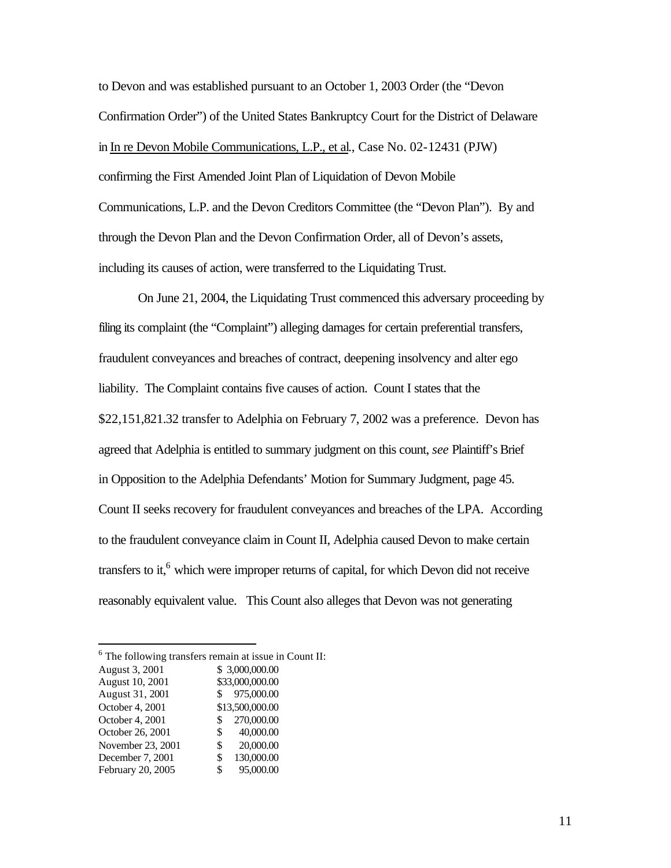to Devon and was established pursuant to an October 1, 2003 Order (the "Devon Confirmation Order") of the United States Bankruptcy Court for the District of Delaware in In re Devon Mobile Communications, L.P., et al., Case No. 02-12431 (PJW) confirming the First Amended Joint Plan of Liquidation of Devon Mobile Communications, L.P. and the Devon Creditors Committee (the "Devon Plan"). By and through the Devon Plan and the Devon Confirmation Order, all of Devon's assets, including its causes of action, were transferred to the Liquidating Trust.

On June 21, 2004, the Liquidating Trust commenced this adversary proceeding by filing its complaint (the "Complaint") alleging damages for certain preferential transfers, fraudulent conveyances and breaches of contract, deepening insolvency and alter ego liability. The Complaint contains five causes of action. Count I states that the \$22,151,821.32 transfer to Adelphia on February 7, 2002 was a preference. Devon has agreed that Adelphia is entitled to summary judgment on this count, *see* Plaintiff's Brief in Opposition to the Adelphia Defendants' Motion for Summary Judgment, page 45. Count II seeks recovery for fraudulent conveyances and breaches of the LPA. According to the fraudulent conveyance claim in Count II, Adelphia caused Devon to make certain transfers to it,<sup>6</sup> which were improper returns of capital, for which Devon did not receive reasonably equivalent value. This Count also alleges that Devon was not generating

 $6$  The following transfers remain at issue in Count II: August 3, 2001 \$ 3,000,000.00<br>August 10, 2001 \$33,000,000.00 August  $10, 2001$ 

| August 31, 2001   | 975,000.00<br>S. |
|-------------------|------------------|
| October 4, 2001   | \$13,500,000.00  |
| October 4, 2001   | 270,000.00<br>S. |
| October 26, 2001  | 40,000.00<br>S.  |
| November 23, 2001 | 20,000.00<br>\$  |
| December 7, 2001  | 130,000.00<br>\$ |
| February 20, 2005 | 95,000.00<br>\$  |

 $\overline{a}$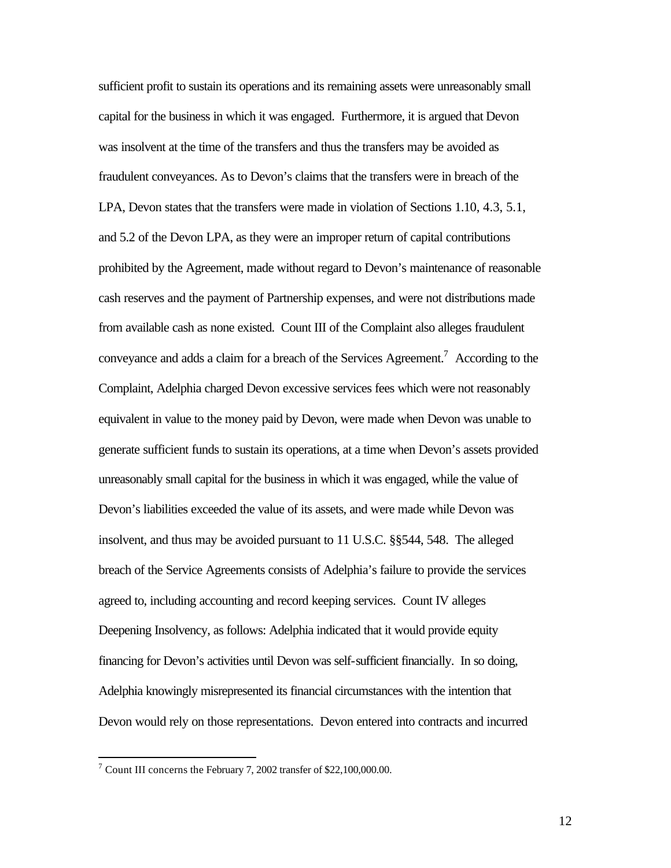sufficient profit to sustain its operations and its remaining assets were unreasonably small capital for the business in which it was engaged. Furthermore, it is argued that Devon was insolvent at the time of the transfers and thus the transfers may be avoided as fraudulent conveyances. As to Devon's claims that the transfers were in breach of the LPA, Devon states that the transfers were made in violation of Sections 1.10, 4.3, 5.1, and 5.2 of the Devon LPA, as they were an improper return of capital contributions prohibited by the Agreement, made without regard to Devon's maintenance of reasonable cash reserves and the payment of Partnership expenses, and were not distributions made from available cash as none existed. Count III of the Complaint also alleges fraudulent conveyance and adds a claim for a breach of the Services Agreement.<sup>7</sup> According to the Complaint, Adelphia charged Devon excessive services fees which were not reasonably equivalent in value to the money paid by Devon, were made when Devon was unable to generate sufficient funds to sustain its operations, at a time when Devon's assets provided unreasonably small capital for the business in which it was engaged, while the value of Devon's liabilities exceeded the value of its assets, and were made while Devon was insolvent, and thus may be avoided pursuant to 11 U.S.C. §§544, 548. The alleged breach of the Service Agreements consists of Adelphia's failure to provide the services agreed to, including accounting and record keeping services. Count IV alleges Deepening Insolvency, as follows: Adelphia indicated that it would provide equity financing for Devon's activities until Devon was self-sufficient financially. In so doing, Adelphia knowingly misrepresented its financial circumstances with the intention that Devon would rely on those representations. Devon entered into contracts and incurred

<sup>&</sup>lt;sup>7</sup> Count III concerns the February 7, 2002 transfer of \$22,100,000.00.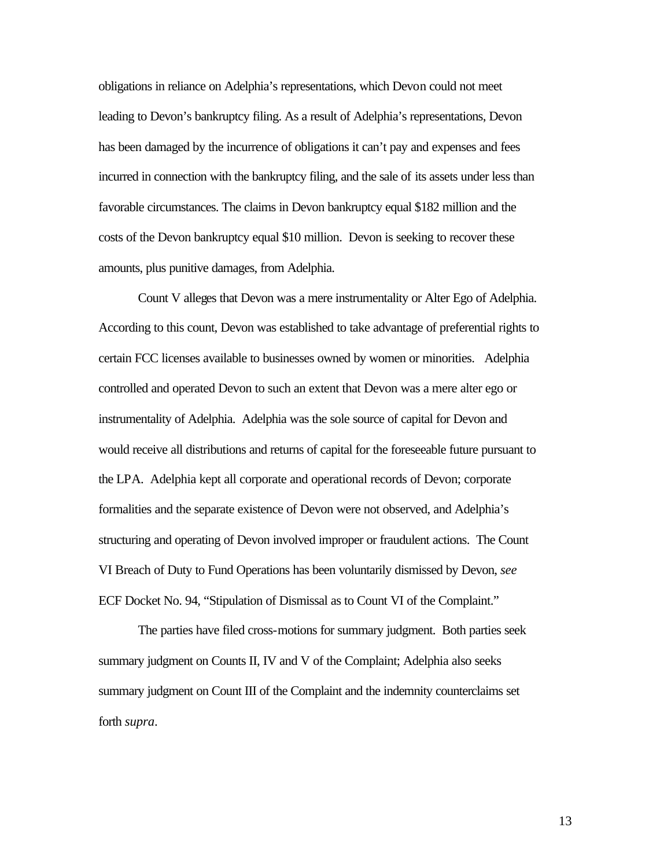obligations in reliance on Adelphia's representations, which Devon could not meet leading to Devon's bankruptcy filing. As a result of Adelphia's representations, Devon has been damaged by the incurrence of obligations it can't pay and expenses and fees incurred in connection with the bankruptcy filing, and the sale of its assets under less than favorable circumstances. The claims in Devon bankruptcy equal \$182 million and the costs of the Devon bankruptcy equal \$10 million. Devon is seeking to recover these amounts, plus punitive damages, from Adelphia.

Count V alleges that Devon was a mere instrumentality or Alter Ego of Adelphia. According to this count, Devon was established to take advantage of preferential rights to certain FCC licenses available to businesses owned by women or minorities. Adelphia controlled and operated Devon to such an extent that Devon was a mere alter ego or instrumentality of Adelphia. Adelphia was the sole source of capital for Devon and would receive all distributions and returns of capital for the foreseeable future pursuant to the LPA. Adelphia kept all corporate and operational records of Devon; corporate formalities and the separate existence of Devon were not observed, and Adelphia's structuring and operating of Devon involved improper or fraudulent actions. The Count VI Breach of Duty to Fund Operations has been voluntarily dismissed by Devon, *see*  ECF Docket No. 94, "Stipulation of Dismissal as to Count VI of the Complaint."

The parties have filed cross-motions for summary judgment. Both parties seek summary judgment on Counts II, IV and V of the Complaint; Adelphia also seeks summary judgment on Count III of the Complaint and the indemnity counterclaims set forth *supra*.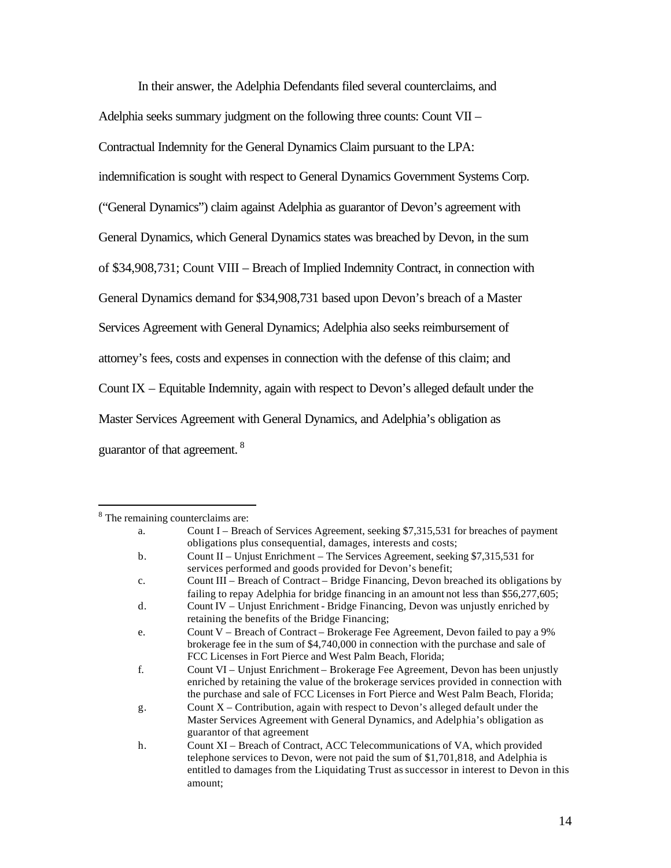In their answer, the Adelphia Defendants filed several counterclaims, and

Adelphia seeks summary judgment on the following three counts: Count VII –

Contractual Indemnity for the General Dynamics Claim pursuant to the LPA:

indemnification is sought with respect to General Dynamics Government Systems Corp.

("General Dynamics") claim against Adelphia as guarantor of Devon's agreement with

General Dynamics, which General Dynamics states was breached by Devon, in the sum

of \$34,908,731; Count VIII – Breach of Implied Indemnity Contract, in connection with

General Dynamics demand for \$34,908,731 based upon Devon's breach of a Master

Services Agreement with General Dynamics; Adelphia also seeks reimbursement of

attorney's fees, costs and expenses in connection with the defense of this claim; and

Count IX – Equitable Indemnity, again with respect to Devon's alleged default under the

Master Services Agreement with General Dynamics, and Adelphia's obligation as

guarantor of that agreement. <sup>8</sup>

 $\overline{a}$ 

<sup>&</sup>lt;sup>8</sup> The remaining counterclaims are:

a. Count I – Breach of Services Agreement, seeking \$7,315,531 for breaches of payment obligations plus consequential, damages, interests and costs; b. Count II – Unjust Enrichment – The Services Agreement, seeking \$7,315,531 for services performed and goods provided for Devon's benefit; c. Count III – Breach of Contract – Bridge Financing, Devon breached its obligations by failing to repay Adelphia for bridge financing in an amount not less than \$56,277,605; d. Count IV – Unjust Enrichment - Bridge Financing, Devon was unjustly enriched by retaining the benefits of the Bridge Financing; e. Count V – Breach of Contract – Brokerage Fee Agreement, Devon failed to pay a 9% brokerage fee in the sum of \$4,740,000 in connection with the purchase and sale of FCC Licenses in Fort Pierce and West Palm Beach, Florida; f. Count VI – Unjust Enrichment – Brokerage Fee Agreement, Devon has been unjustly enriched by retaining the value of the brokerage services provided in connection with the purchase and sale of FCC Licenses in Fort Pierce and West Palm Beach, Florida; g. Count X – Contribution, again with respect to Devon's alleged default under the Master Services Agreement with General Dynamics, and Adelphia's obligation as guarantor of that agreement h. Count XI – Breach of Contract, ACC Telecommunications of VA, which provided telephone services to Devon, were not paid the sum of \$1,701,818, and Adelphia is entitled to damages from the Liquidating Trust as successor in interest to Devon in this amount;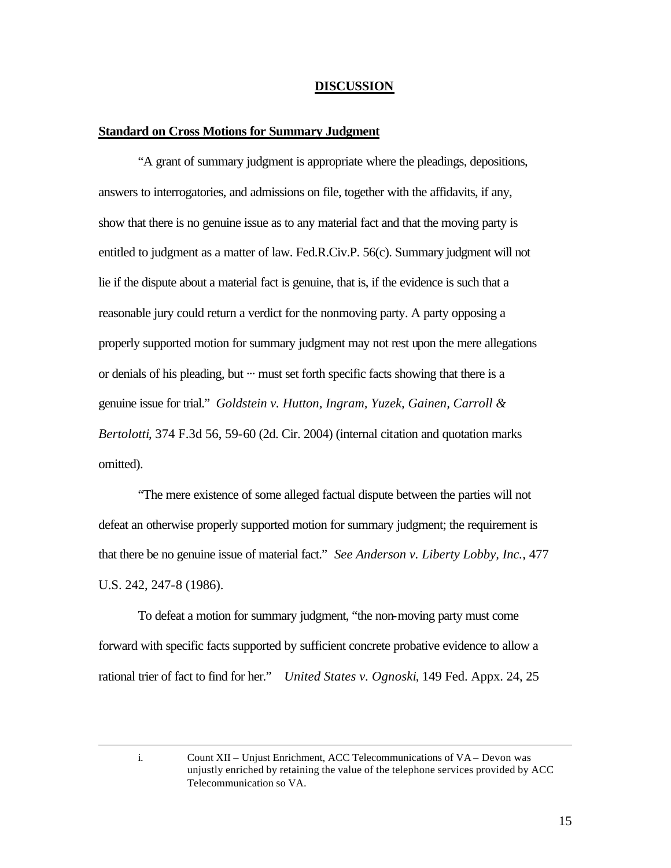#### **DISCUSSION**

#### **Standard on Cross Motions for Summary Judgment**

"A grant of summary judgment is appropriate where the pleadings, depositions, answers to interrogatories, and admissions on file, together with the affidavits, if any, show that there is no genuine issue as to any material fact and that the moving party is entitled to judgment as a matter of law. Fed.R.Civ.P. 56(c). Summary judgment will not lie if the dispute about a material fact is genuine, that is, if the evidence is such that a reasonable jury could return a verdict for the nonmoving party. A party opposing a properly supported motion for summary judgment may not rest upon the mere allegations or denials of his pleading, but ··· must set forth specific facts showing that there is a genuine issue for trial." *Goldstein v. Hutton, Ingram, Yuzek, Gainen, Carroll & Bertolotti*, 374 F.3d 56, 59-60 (2d. Cir. 2004) (internal citation and quotation marks omitted).

"The mere existence of some alleged factual dispute between the parties will not defeat an otherwise properly supported motion for summary judgment; the requirement is that there be no genuine issue of material fact." *See Anderson v. Liberty Lobby, Inc.*, 477 U.S. 242, 247-8 (1986).

To defeat a motion for summary judgment, "the non-moving party must come forward with specific facts supported by sufficient concrete probative evidence to allow a rational trier of fact to find for her." *United States v. Ognoski*, 149 Fed. Appx. 24, 25

 $\overline{a}$ 

i. Count XII – Unjust Enrichment, ACC Telecommunications of VA – Devon was unjustly enriched by retaining the value of the telephone services provided by ACC Telecommunication so VA.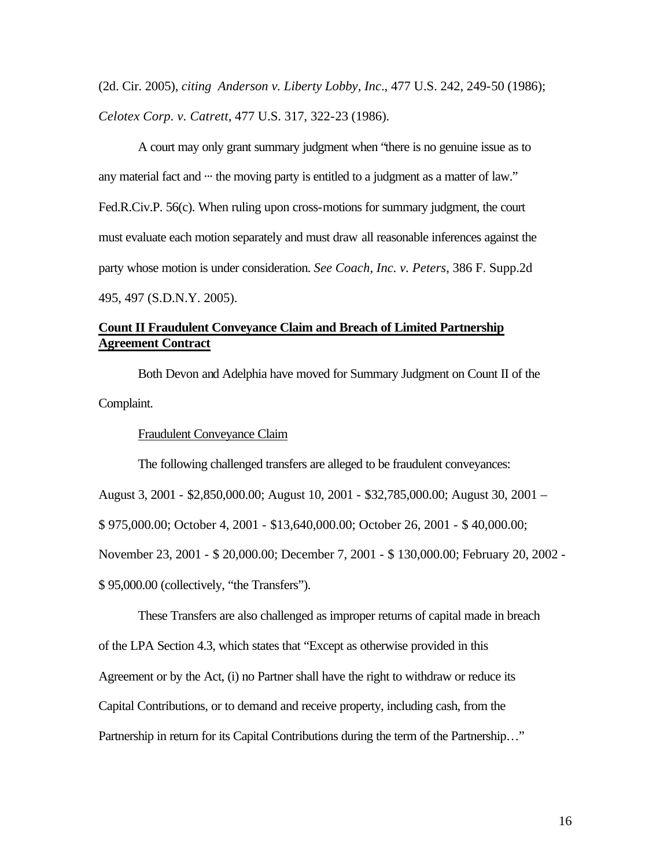(2d. Cir. 2005), *citing Anderson v. Liberty Lobby, Inc*., 477 U.S. 242, 249-50 (1986); *Celotex Corp. v. Catrett*, 477 U.S. 317, 322-23 (1986).

A court may only grant summary judgment when "there is no genuine issue as to any material fact and  $\cdots$  the moving party is entitled to a judgment as a matter of law." Fed.R.Civ.P. 56(c). When ruling upon cross-motions for summary judgment, the court must evaluate each motion separately and must draw all reasonable inferences against the party whose motion is under consideration. *See Coach, Inc. v. Peters*, 386 F. Supp.2d 495, 497 (S.D.N.Y. 2005).

# **Count II Fraudulent Conveyance Claim and Breach of Limited Partnership Agreement Contract**

Both Devon and Adelphia have moved for Summary Judgment on Count II of the Complaint.

## Fraudulent Conveyance Claim

The following challenged transfers are alleged to be fraudulent conveyances:

August 3, 2001 - \$2,850,000.00; August 10, 2001 - \$32,785,000.00; August 30, 2001 –

\$ 975,000.00; October 4, 2001 - \$13,640,000.00; October 26, 2001 - \$ 40,000.00;

November 23, 2001 - \$ 20,000.00; December 7, 2001 - \$ 130,000.00; February 20, 2002 -

\$ 95,000.00 (collectively, "the Transfers").

These Transfers are also challenged as improper returns of capital made in breach of the LPA Section 4.3, which states that "Except as otherwise provided in this Agreement or by the Act, (i) no Partner shall have the right to withdraw or reduce its Capital Contributions, or to demand and receive property, including cash, from the Partnership in return for its Capital Contributions during the term of the Partnership…"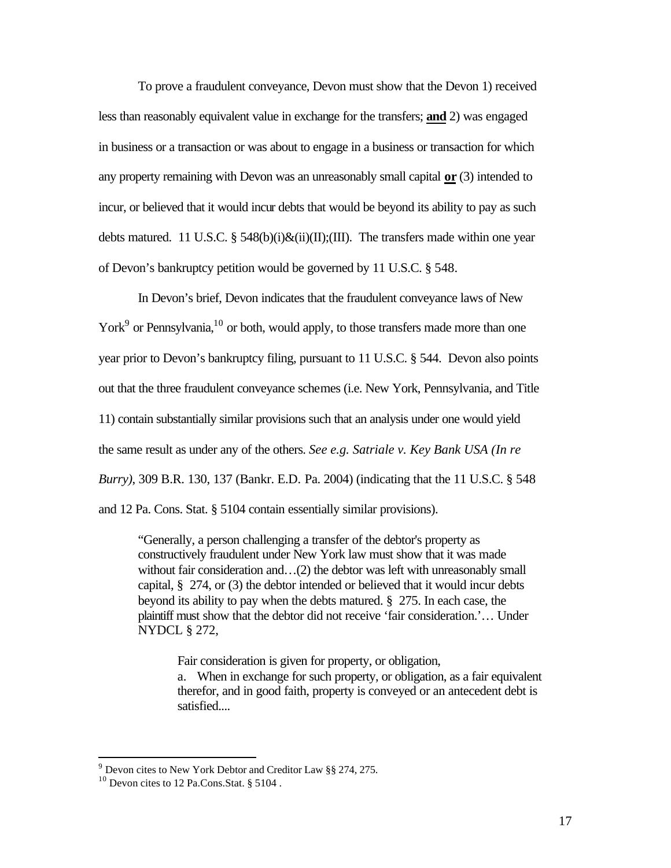To prove a fraudulent conveyance, Devon must show that the Devon 1) received less than reasonably equivalent value in exchange for the transfers; **and** 2) was engaged in business or a transaction or was about to engage in a business or transaction for which any property remaining with Devon was an unreasonably small capital **or** (3) intended to incur, or believed that it would incur debts that would be beyond its ability to pay as such debts matured. 11 U.S.C.  $\S$  548(b)(i)&(ii)(II);(III). The transfers made within one year of Devon's bankruptcy petition would be governed by 11 U.S.C. § 548.

In Devon's brief, Devon indicates that the fraudulent conveyance laws of New York<sup>9</sup> or Pennsylvania,<sup>10</sup> or both, would apply, to those transfers made more than one year prior to Devon's bankruptcy filing, pursuant to 11 U.S.C. § 544. Devon also points out that the three fraudulent conveyance schemes (i.e. New York, Pennsylvania, and Title 11) contain substantially similar provisions such that an analysis under one would yield the same result as under any of the others. *See e.g. Satriale v. Key Bank USA (In re Burry)*, 309 B.R. 130, 137 (Bankr. E.D. Pa. 2004) (indicating that the 11 U.S.C. § 548 and 12 Pa. Cons. Stat. § 5104 contain essentially similar provisions).

"Generally, a person challenging a transfer of the debtor's property as constructively fraudulent under New York law must show that it was made without fair consideration and ...(2) the debtor was left with unreasonably small capital, § 274, or (3) the debtor intended or believed that it would incur debts beyond its ability to pay when the debts matured. § 275. In each case, the plaintiff must show that the debtor did not receive 'fair consideration.'… Under NYDCL § 272,

Fair consideration is given for property, or obligation,

a. When in exchange for such property, or obligation, as a fair equivalent therefor, and in good faith, property is conveyed or an antecedent debt is satisfied....

 9 Devon cites to New York Debtor and Creditor Law §§ 274, 275.

 $10$  Devon cites to 12 Pa.Cons.Stat. § 5104.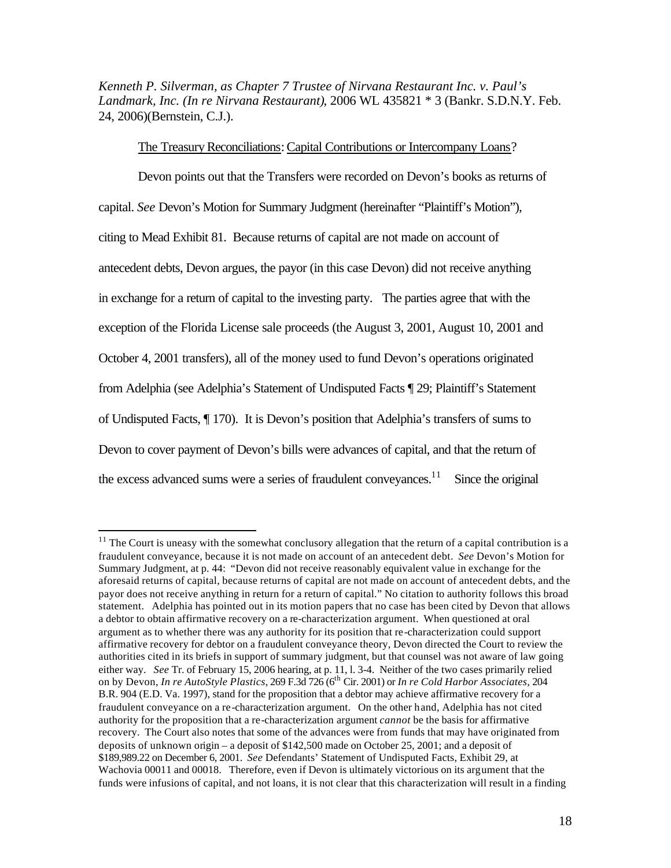*Kenneth P. Silverman, as Chapter 7 Trustee of Nirvana Restaurant Inc. v. Paul's Landmark, Inc. (In re Nirvana Restaurant)*, 2006 WL 435821 \* 3 (Bankr. S.D.N.Y. Feb. 24, 2006)(Bernstein, C.J.).

The Treasury Reconciliations: Capital Contributions or Intercompany Loans?

Devon points out that the Transfers were recorded on Devon's books as returns of capital. *See* Devon's Motion for Summary Judgment (hereinafter "Plaintiff's Motion"), citing to Mead Exhibit 81. Because returns of capital are not made on account of antecedent debts, Devon argues, the payor (in this case Devon) did not receive anything in exchange for a return of capital to the investing party. The parties agree that with the exception of the Florida License sale proceeds (the August 3, 2001, August 10, 2001 and October 4, 2001 transfers), all of the money used to fund Devon's operations originated from Adelphia (see Adelphia's Statement of Undisputed Facts ¶ 29; Plaintiff's Statement of Undisputed Facts, ¶ 170). It is Devon's position that Adelphia's transfers of sums to Devon to cover payment of Devon's bills were advances of capital, and that the return of the excess advanced sums were a series of fraudulent conveyances.<sup>11</sup> Since the original

 $\overline{a}$ 

 $11$  The Court is uneasy with the somewhat conclusory allegation that the return of a capital contribution is a fraudulent conveyance, because it is not made on account of an antecedent debt. *See* Devon's Motion for Summary Judgment, at p. 44: "Devon did not receive reasonably equivalent value in exchange for the aforesaid returns of capital, because returns of capital are not made on account of antecedent debts, and the payor does not receive anything in return for a return of capital." No citation to authority follows this broad statement. Adelphia has pointed out in its motion papers that no case has been cited by Devon that allows a debtor to obtain affirmative recovery on a re-characterization argument. When questioned at oral argument as to whether there was any authority for its position that re-characterization could support affirmative recovery for debtor on a fraudulent conveyance theory, Devon directed the Court to review the authorities cited in its briefs in support of summary judgment, but that counsel was not aware of law going either way. *See* Tr. of February 15, 2006 hearing, at p. 11, l. 3-4. Neither of the two cases primarily relied on by Devon, *In re AutoStyle Plastics*, 269 F.3d 726 (6th Cir. 2001) or *In re Cold Harbor Associates,* 204 B.R. 904 (E.D. Va. 1997), stand for the proposition that a debtor may achieve affirmative recovery for a fraudulent conveyance on a re-characterization argument. On the other hand, Adelphia has not cited authority for the proposition that a re-characterization argument *cannot* be the basis for affirmative recovery. The Court also notes that some of the advances were from funds that may have originated from deposits of unknown origin – a deposit of \$142,500 made on October 25, 2001; and a deposit of \$189,989.22 on December 6, 2001. *See* Defendants' Statement of Undisputed Facts, Exhibit 29, at Wachovia 00011 and 00018. Therefore, even if Devon is ultimately victorious on its argument that the funds were infusions of capital, and not loans, it is not clear that this characterization will result in a finding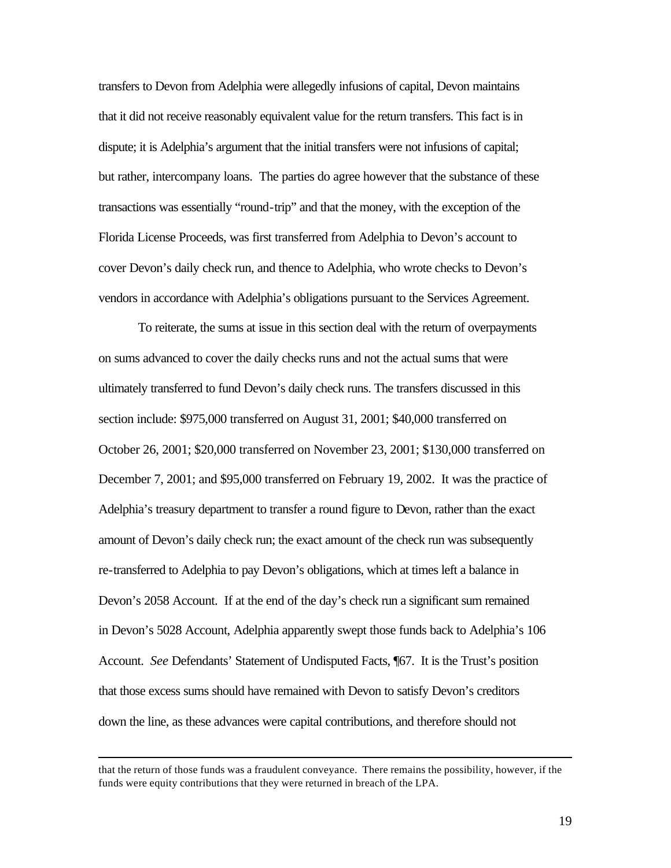transfers to Devon from Adelphia were allegedly infusions of capital, Devon maintains that it did not receive reasonably equivalent value for the return transfers. This fact is in dispute; it is Adelphia's argument that the initial transfers were not infusions of capital; but rather, intercompany loans. The parties do agree however that the substance of these transactions was essentially "round-trip" and that the money, with the exception of the Florida License Proceeds, was first transferred from Adelphia to Devon's account to cover Devon's daily check run, and thence to Adelphia, who wrote checks to Devon's vendors in accordance with Adelphia's obligations pursuant to the Services Agreement.

To reiterate, the sums at issue in this section deal with the return of overpayments on sums advanced to cover the daily checks runs and not the actual sums that were ultimately transferred to fund Devon's daily check runs. The transfers discussed in this section include: \$975,000 transferred on August 31, 2001; \$40,000 transferred on October 26, 2001; \$20,000 transferred on November 23, 2001; \$130,000 transferred on December 7, 2001; and \$95,000 transferred on February 19, 2002. It was the practice of Adelphia's treasury department to transfer a round figure to Devon, rather than the exact amount of Devon's daily check run; the exact amount of the check run was subsequently re-transferred to Adelphia to pay Devon's obligations, which at times left a balance in Devon's 2058 Account. If at the end of the day's check run a significant sum remained in Devon's 5028 Account, Adelphia apparently swept those funds back to Adelphia's 106 Account. *See* Defendants' Statement of Undisputed Facts, ¶67. It is the Trust's position that those excess sums should have remained with Devon to satisfy Devon's creditors down the line, as these advances were capital contributions, and therefore should not

 $\overline{a}$ 

that the return of those funds was a fraudulent conveyance. There remains the possibility, however, if the funds were equity contributions that they were returned in breach of the LPA.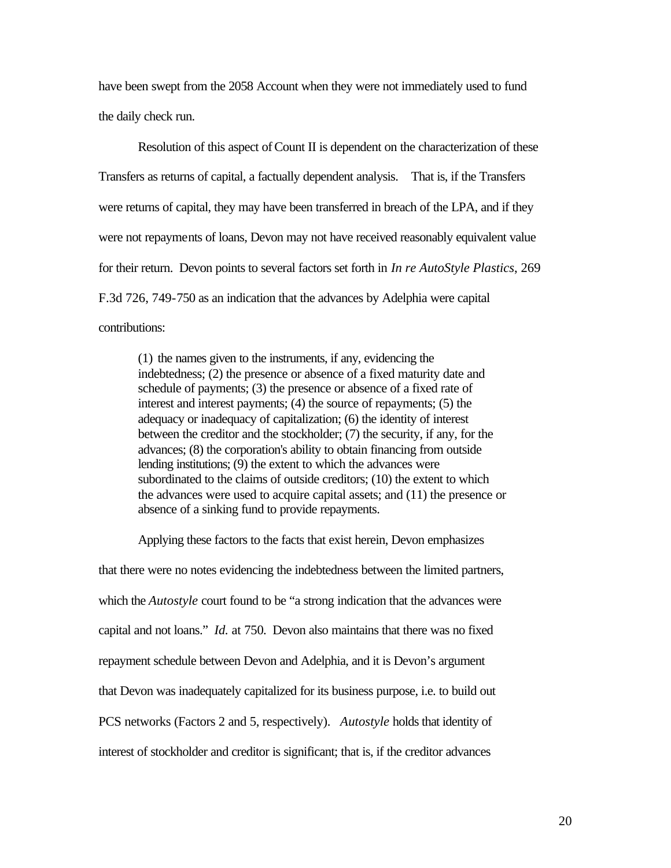have been swept from the 2058 Account when they were not immediately used to fund the daily check run.

Resolution of this aspect of Count II is dependent on the characterization of these Transfers as returns of capital, a factually dependent analysis. That is, if the Transfers were returns of capital, they may have been transferred in breach of the LPA, and if they were not repayments of loans, Devon may not have received reasonably equivalent value for their return. Devon points to several factors set forth in *In re AutoStyle Plastics*, 269 F.3d 726, 749-750 as an indication that the advances by Adelphia were capital contributions:

(1) the names given to the instruments, if any, evidencing the indebtedness; (2) the presence or absence of a fixed maturity date and schedule of payments; (3) the presence or absence of a fixed rate of interest and interest payments; (4) the source of repayments; (5) the adequacy or inadequacy of capitalization; (6) the identity of interest between the creditor and the stockholder; (7) the security, if any, for the advances; (8) the corporation's ability to obtain financing from outside lending institutions; (9) the extent to which the advances were subordinated to the claims of outside creditors; (10) the extent to which the advances were used to acquire capital assets; and (11) the presence or absence of a sinking fund to provide repayments.

Applying these factors to the facts that exist herein, Devon emphasizes that there were no notes evidencing the indebtedness between the limited partners, which the *Autostyle* court found to be "a strong indication that the advances were capital and not loans." *Id.* at 750. Devon also maintains that there was no fixed repayment schedule between Devon and Adelphia, and it is Devon's argument that Devon was inadequately capitalized for its business purpose, i.e. to build out PCS networks (Factors 2 and 5, respectively). *Autostyle* holds that identity of interest of stockholder and creditor is significant; that is, if the creditor advances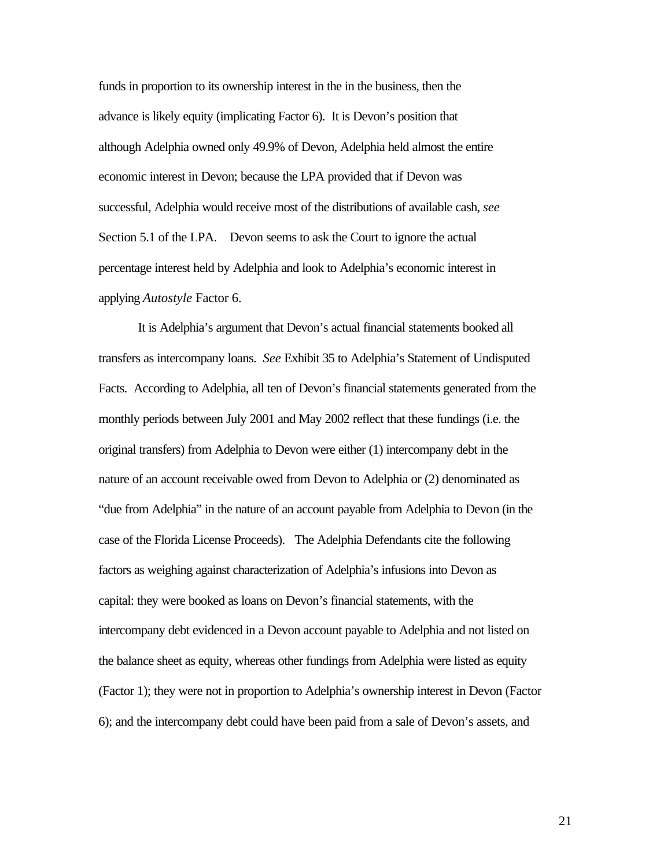funds in proportion to its ownership interest in the in the business, then the advance is likely equity (implicating Factor 6). It is Devon's position that although Adelphia owned only 49.9% of Devon, Adelphia held almost the entire economic interest in Devon; because the LPA provided that if Devon was successful, Adelphia would receive most of the distributions of available cash, *see*  Section 5.1 of the LPA. Devon seems to ask the Court to ignore the actual percentage interest held by Adelphia and look to Adelphia's economic interest in applying *Autostyle* Factor 6.

It is Adelphia's argument that Devon's actual financial statements booked all transfers as intercompany loans. *See* Exhibit 35 to Adelphia's Statement of Undisputed Facts. According to Adelphia, all ten of Devon's financial statements generated from the monthly periods between July 2001 and May 2002 reflect that these fundings (i.e. the original transfers) from Adelphia to Devon were either (1) intercompany debt in the nature of an account receivable owed from Devon to Adelphia or (2) denominated as "due from Adelphia" in the nature of an account payable from Adelphia to Devon (in the case of the Florida License Proceeds). The Adelphia Defendants cite the following factors as weighing against characterization of Adelphia's infusions into Devon as capital: they were booked as loans on Devon's financial statements, with the intercompany debt evidenced in a Devon account payable to Adelphia and not listed on the balance sheet as equity, whereas other fundings from Adelphia were listed as equity (Factor 1); they were not in proportion to Adelphia's ownership interest in Devon (Factor 6); and the intercompany debt could have been paid from a sale of Devon's assets, and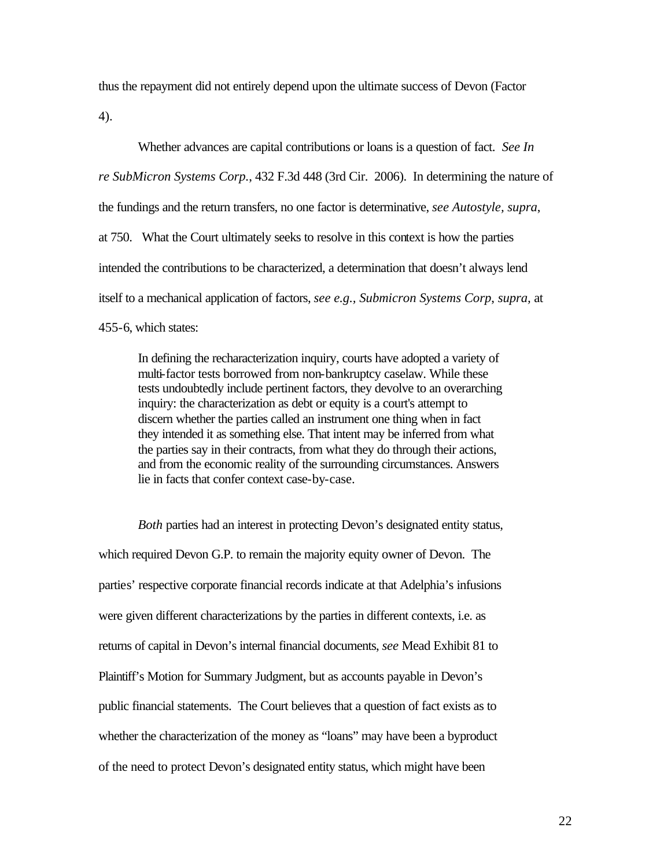thus the repayment did not entirely depend upon the ultimate success of Devon (Factor 4).

Whether advances are capital contributions or loans is a question of fact. *See In re SubMicron Systems Corp.*, 432 F.3d 448 (3rd Cir. 2006). In determining the nature of the fundings and the return transfers, no one factor is determinative, *see Autostyle, supra*, at 750. What the Court ultimately seeks to resolve in this context is how the parties intended the contributions to be characterized, a determination that doesn't always lend itself to a mechanical application of factors, *see e.g., Submicron Systems Corp*, *supra,* at 455-6, which states:

In defining the recharacterization inquiry, courts have adopted a variety of multi-factor tests borrowed from non-bankruptcy caselaw. While these tests undoubtedly include pertinent factors, they devolve to an overarching inquiry: the characterization as debt or equity is a court's attempt to discern whether the parties called an instrument one thing when in fact they intended it as something else. That intent may be inferred from what the parties say in their contracts, from what they do through their actions, and from the economic reality of the surrounding circumstances. Answers lie in facts that confer context case-by-case.

*Both* parties had an interest in protecting Devon's designated entity status, which required Devon G.P. to remain the majority equity owner of Devon. The parties' respective corporate financial records indicate at that Adelphia's infusions were given different characterizations by the parties in different contexts, i.e. as returns of capital in Devon's internal financial documents, *see* Mead Exhibit 81 to Plaintiff's Motion for Summary Judgment, but as accounts payable in Devon's public financial statements. The Court believes that a question of fact exists as to whether the characterization of the money as "loans" may have been a byproduct of the need to protect Devon's designated entity status, which might have been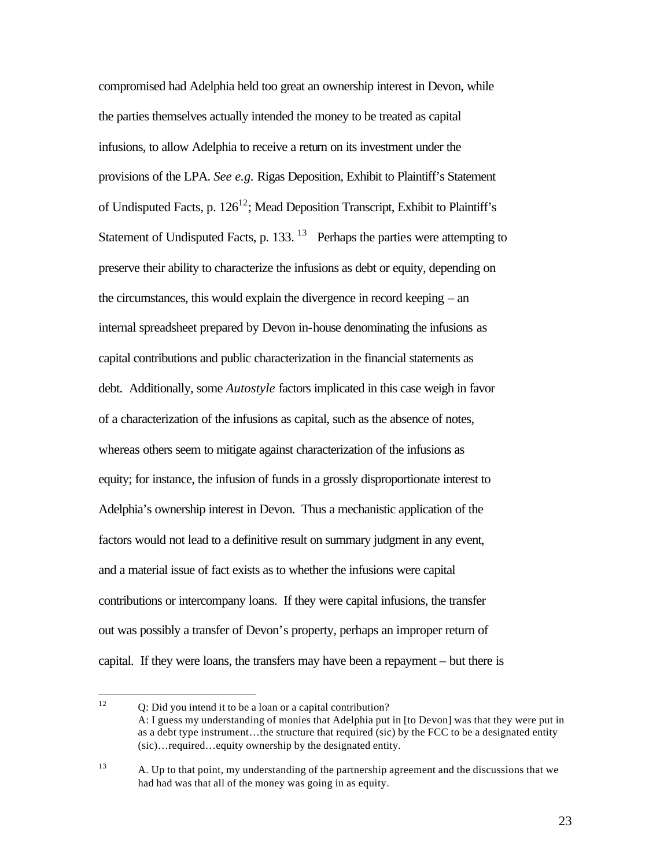compromised had Adelphia held too great an ownership interest in Devon, while the parties themselves actually intended the money to be treated as capital infusions, to allow Adelphia to receive a return on its investment under the provisions of the LPA. *See e.g.* Rigas Deposition, Exhibit to Plaintiff's Statement of Undisputed Facts, p.  $126^{12}$ ; Mead Deposition Transcript, Exhibit to Plaintiff's Statement of Undisputed Facts, p. 133. <sup>13</sup> Perhaps the parties were attempting to preserve their ability to characterize the infusions as debt or equity, depending on the circumstances, this would explain the divergence in record keeping – an internal spreadsheet prepared by Devon in-house denominating the infusions as capital contributions and public characterization in the financial statements as debt. Additionally, some *Autostyle* factors implicated in this case weigh in favor of a characterization of the infusions as capital, such as the absence of notes, whereas others seem to mitigate against characterization of the infusions as equity; for instance, the infusion of funds in a grossly disproportionate interest to Adelphia's ownership interest in Devon. Thus a mechanistic application of the factors would not lead to a definitive result on summary judgment in any event, and a material issue of fact exists as to whether the infusions were capital contributions or intercompany loans. If they were capital infusions, the transfer out was possibly a transfer of Devon's property, perhaps an improper return of capital. If they were loans, the transfers may have been a repayment – but there is

 $12<sup>12</sup>$ <sup>12</sup> Q: Did you intend it to be a loan or a capital contribution? A: I guess my understanding of monies that Adelphia put in [to Devon] was that they were put in as a debt type instrument…the structure that required (sic) by the FCC to be a designated entity (sic)…required…equity ownership by the designated entity.

<sup>&</sup>lt;sup>13</sup> A. Up to that point, my understanding of the partnership agreement and the discussions that we had had was that all of the money was going in as equity.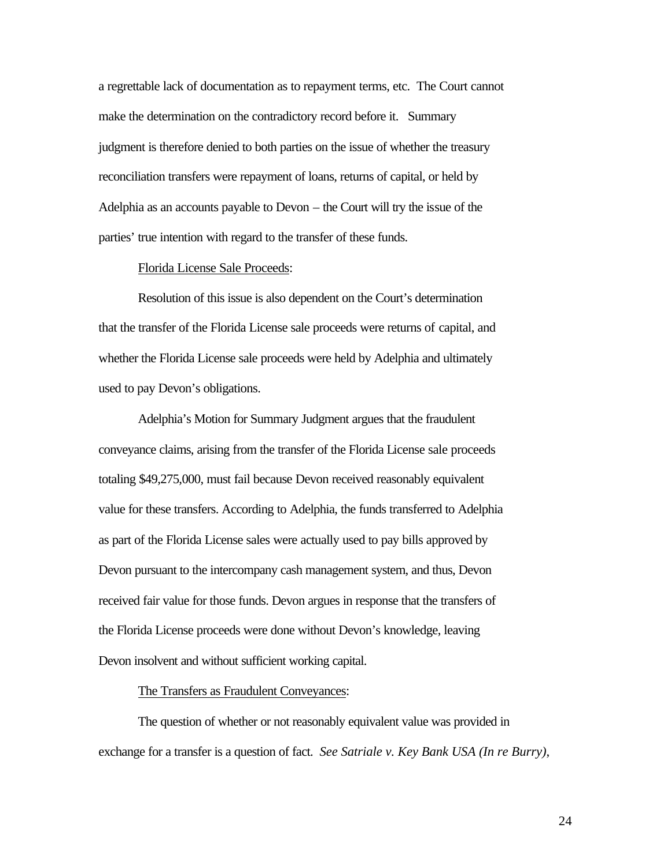a regrettable lack of documentation as to repayment terms, etc. The Court cannot make the determination on the contradictory record before it. Summary judgment is therefore denied to both parties on the issue of whether the treasury reconciliation transfers were repayment of loans, returns of capital, or held by Adelphia as an accounts payable to Devon – the Court will try the issue of the parties' true intention with regard to the transfer of these funds.

## Florida License Sale Proceeds:

Resolution of this issue is also dependent on the Court's determination that the transfer of the Florida License sale proceeds were returns of capital, and whether the Florida License sale proceeds were held by Adelphia and ultimately used to pay Devon's obligations.

Adelphia's Motion for Summary Judgment argues that the fraudulent conveyance claims, arising from the transfer of the Florida License sale proceeds totaling \$49,275,000, must fail because Devon received reasonably equivalent value for these transfers. According to Adelphia, the funds transferred to Adelphia as part of the Florida License sales were actually used to pay bills approved by Devon pursuant to the intercompany cash management system, and thus, Devon received fair value for those funds. Devon argues in response that the transfers of the Florida License proceeds were done without Devon's knowledge, leaving Devon insolvent and without sufficient working capital.

#### The Transfers as Fraudulent Conveyances:

The question of whether or not reasonably equivalent value was provided in exchange for a transfer is a question of fact. *See Satriale v. Key Bank USA (In re Burry)*,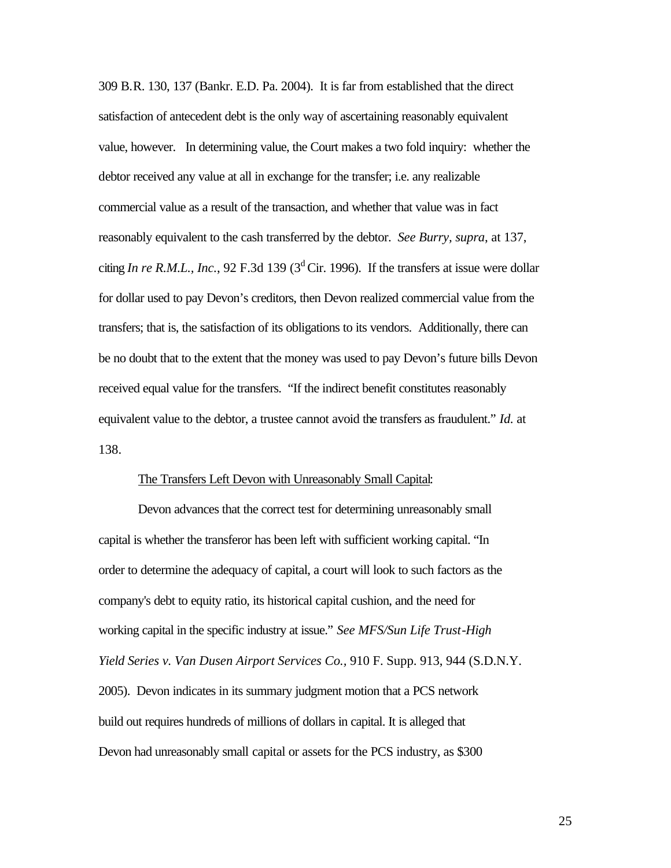309 B.R. 130, 137 (Bankr. E.D. Pa. 2004). It is far from established that the direct satisfaction of antecedent debt is the only way of ascertaining reasonably equivalent value, however. In determining value, the Court makes a two fold inquiry: whether the debtor received any value at all in exchange for the transfer; i.e. any realizable commercial value as a result of the transaction, and whether that value was in fact reasonably equivalent to the cash transferred by the debtor. *See Burry, supra*, at 137, citing *In re R.M.L., Inc.*, 92 F.3d 139 ( $3<sup>d</sup>$  Cir. 1996). If the transfers at issue were dollar for dollar used to pay Devon's creditors, then Devon realized commercial value from the transfers; that is, the satisfaction of its obligations to its vendors. Additionally, there can be no doubt that to the extent that the money was used to pay Devon's future bills Devon received equal value for the transfers. "If the indirect benefit constitutes reasonably equivalent value to the debtor, a trustee cannot avoid the transfers as fraudulent." *Id.* at 138.

## The Transfers Left Devon with Unreasonably Small Capital:

Devon advances that the correct test for determining unreasonably small capital is whether the transferor has been left with sufficient working capital. "In order to determine the adequacy of capital, a court will look to such factors as the company's debt to equity ratio, its historical capital cushion, and the need for working capital in the specific industry at issue." *See MFS/Sun Life Trust-High Yield Series v. Van Dusen Airport Services Co.,* 910 F. Supp. 913, 944 (S.D.N.Y. 2005). Devon indicates in its summary judgment motion that a PCS network build out requires hundreds of millions of dollars in capital. It is alleged that Devon had unreasonably small capital or assets for the PCS industry, as \$300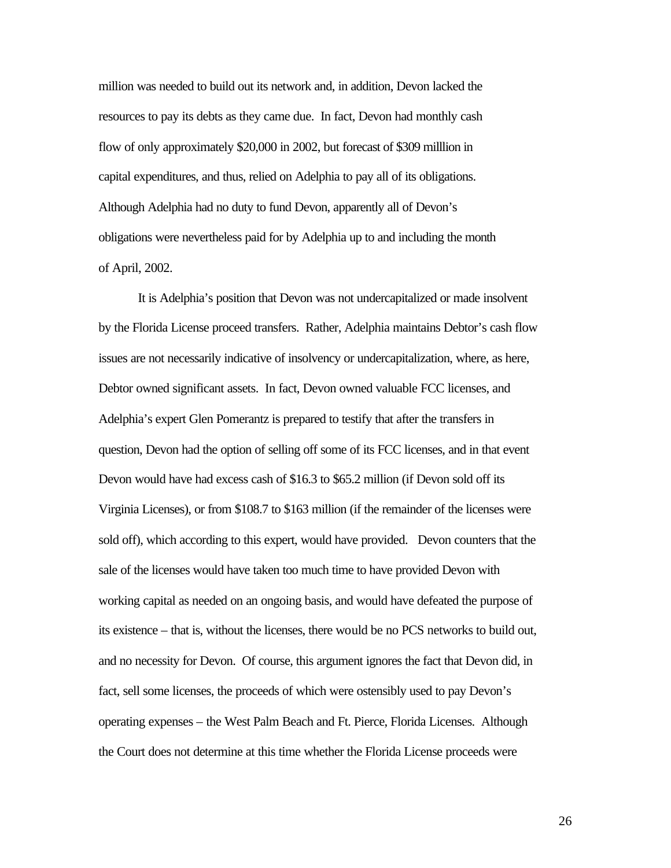million was needed to build out its network and, in addition, Devon lacked the resources to pay its debts as they came due. In fact, Devon had monthly cash flow of only approximately \$20,000 in 2002, but forecast of \$309 milllion in capital expenditures, and thus, relied on Adelphia to pay all of its obligations. Although Adelphia had no duty to fund Devon, apparently all of Devon's obligations were nevertheless paid for by Adelphia up to and including the month of April, 2002.

It is Adelphia's position that Devon was not undercapitalized or made insolvent by the Florida License proceed transfers. Rather, Adelphia maintains Debtor's cash flow issues are not necessarily indicative of insolvency or undercapitalization, where, as here, Debtor owned significant assets. In fact, Devon owned valuable FCC licenses, and Adelphia's expert Glen Pomerantz is prepared to testify that after the transfers in question, Devon had the option of selling off some of its FCC licenses, and in that event Devon would have had excess cash of \$16.3 to \$65.2 million (if Devon sold off its Virginia Licenses), or from \$108.7 to \$163 million (if the remainder of the licenses were sold off), which according to this expert, would have provided. Devon counters that the sale of the licenses would have taken too much time to have provided Devon with working capital as needed on an ongoing basis, and would have defeated the purpose of its existence – that is, without the licenses, there would be no PCS networks to build out, and no necessity for Devon. Of course, this argument ignores the fact that Devon did, in fact, sell some licenses, the proceeds of which were ostensibly used to pay Devon's operating expenses – the West Palm Beach and Ft. Pierce, Florida Licenses. Although the Court does not determine at this time whether the Florida License proceeds were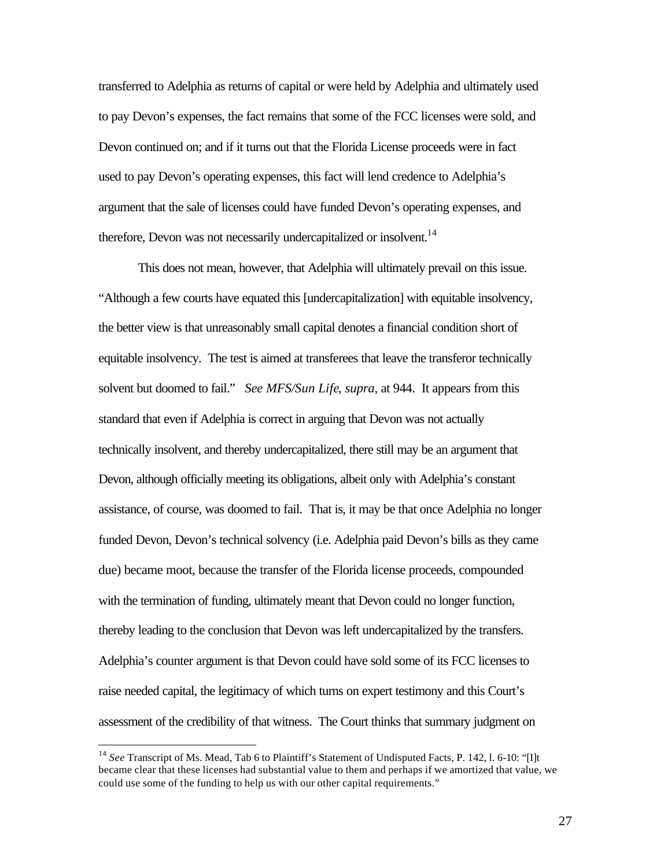transferred to Adelphia as returns of capital or were held by Adelphia and ultimately used to pay Devon's expenses, the fact remains that some of the FCC licenses were sold, and Devon continued on; and if it turns out that the Florida License proceeds were in fact used to pay Devon's operating expenses, this fact will lend credence to Adelphia's argument that the sale of licenses could have funded Devon's operating expenses, and therefore, Devon was not necessarily undercapitalized or insolvent.<sup>14</sup>

This does not mean, however, that Adelphia will ultimately prevail on this issue. "Although a few courts have equated this [undercapitalization] with equitable insolvency, the better view is that unreasonably small capital denotes a financial condition short of equitable insolvency. The test is aimed at transferees that leave the transferor technically solvent but doomed to fail." *See MFS/Sun Life*, *supra*, at 944. It appears from this standard that even if Adelphia is correct in arguing that Devon was not actually technically insolvent, and thereby undercapitalized, there still may be an argument that Devon, although officially meeting its obligations, albeit only with Adelphia's constant assistance, of course, was doomed to fail. That is, it may be that once Adelphia no longer funded Devon, Devon's technical solvency (i.e. Adelphia paid Devon's bills as they came due) became moot, because the transfer of the Florida license proceeds, compounded with the termination of funding, ultimately meant that Devon could no longer function, thereby leading to the conclusion that Devon was left undercapitalized by the transfers. Adelphia's counter argument is that Devon could have sold some of its FCC licenses to raise needed capital, the legitimacy of which turns on expert testimony and this Court's assessment of the credibility of that witness. The Court thinks that summary judgment on

 $\overline{a}$ 

<sup>14</sup> *See* Transcript of Ms. Mead, Tab 6 to Plaintiff's Statement of Undisputed Facts, P. 142, l. 6-10: "[I]t became clear that these licenses had substantial value to them and perhaps if we amortized that value, we could use some of the funding to help us with our other capital requirements."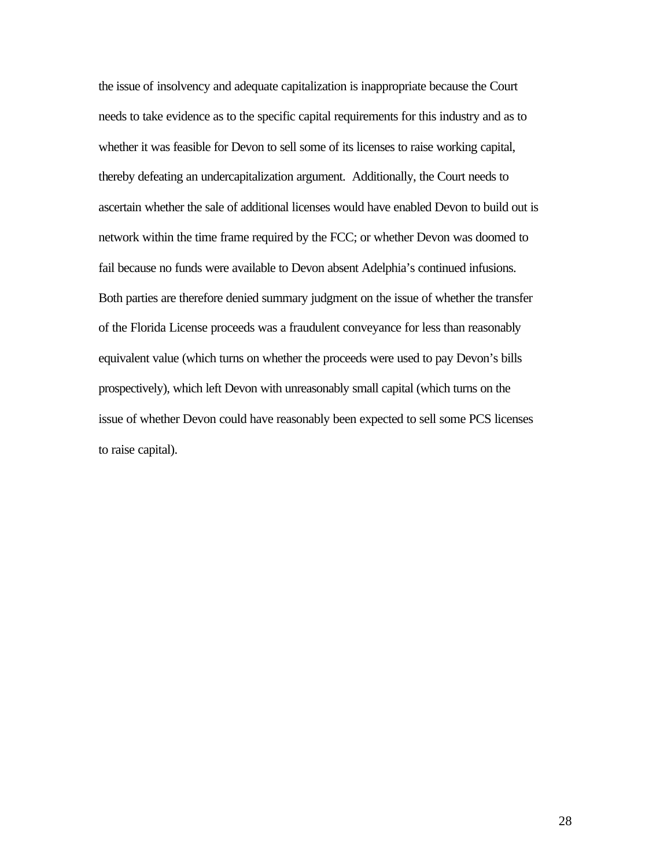the issue of insolvency and adequate capitalization is inappropriate because the Court needs to take evidence as to the specific capital requirements for this industry and as to whether it was feasible for Devon to sell some of its licenses to raise working capital, thereby defeating an undercapitalization argument. Additionally, the Court needs to ascertain whether the sale of additional licenses would have enabled Devon to build out is network within the time frame required by the FCC; or whether Devon was doomed to fail because no funds were available to Devon absent Adelphia's continued infusions. Both parties are therefore denied summary judgment on the issue of whether the transfer of the Florida License proceeds was a fraudulent conveyance for less than reasonably equivalent value (which turns on whether the proceeds were used to pay Devon's bills prospectively), which left Devon with unreasonably small capital (which turns on the issue of whether Devon could have reasonably been expected to sell some PCS licenses to raise capital).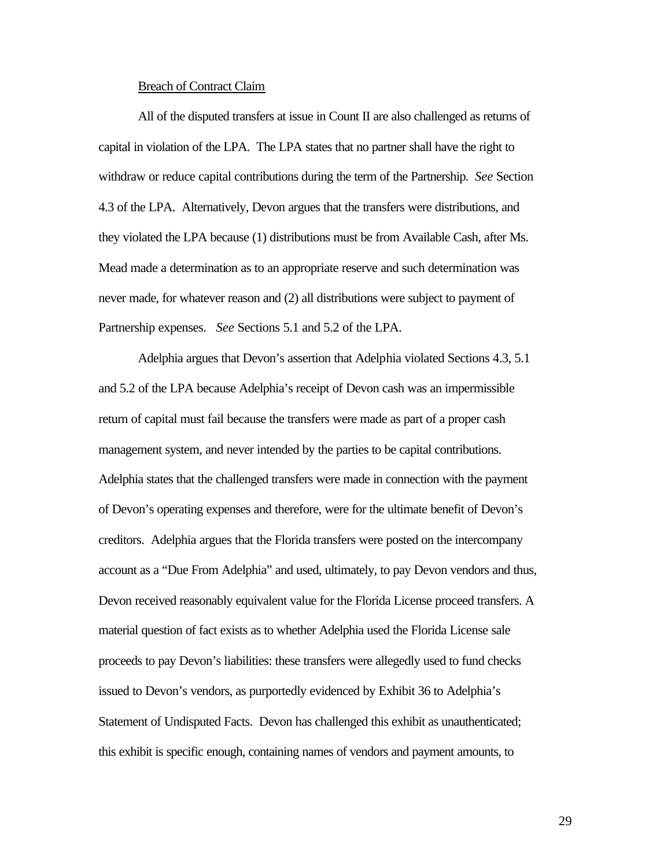#### Breach of Contract Claim

All of the disputed transfers at issue in Count II are also challenged as returns of capital in violation of the LPA. The LPA states that no partner shall have the right to withdraw or reduce capital contributions during the term of the Partnership. *See* Section 4.3 of the LPA. Alternatively, Devon argues that the transfers were distributions, and they violated the LPA because (1) distributions must be from Available Cash, after Ms. Mead made a determination as to an appropriate reserve and such determination was never made, for whatever reason and (2) all distributions were subject to payment of Partnership expenses. *See* Sections 5.1 and 5.2 of the LPA.

Adelphia argues that Devon's assertion that Adelphia violated Sections 4.3, 5.1 and 5.2 of the LPA because Adelphia's receipt of Devon cash was an impermissible return of capital must fail because the transfers were made as part of a proper cash management system, and never intended by the parties to be capital contributions. Adelphia states that the challenged transfers were made in connection with the payment of Devon's operating expenses and therefore, were for the ultimate benefit of Devon's creditors. Adelphia argues that the Florida transfers were posted on the intercompany account as a "Due From Adelphia" and used, ultimately, to pay Devon vendors and thus, Devon received reasonably equivalent value for the Florida License proceed transfers. A material question of fact exists as to whether Adelphia used the Florida License sale proceeds to pay Devon's liabilities: these transfers were allegedly used to fund checks issued to Devon's vendors, as purportedly evidenced by Exhibit 36 to Adelphia's Statement of Undisputed Facts. Devon has challenged this exhibit as unauthenticated; this exhibit is specific enough, containing names of vendors and payment amounts, to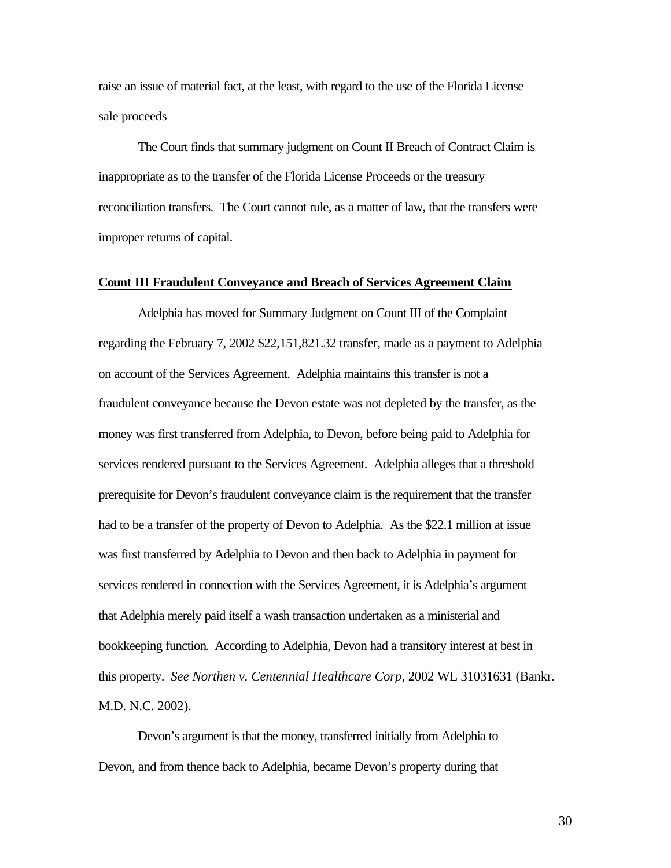raise an issue of material fact, at the least, with regard to the use of the Florida License sale proceeds

The Court finds that summary judgment on Count II Breach of Contract Claim is inappropriate as to the transfer of the Florida License Proceeds or the treasury reconciliation transfers. The Court cannot rule, as a matter of law, that the transfers were improper returns of capital.

#### **Count III Fraudulent Conveyance and Breach of Services Agreement Claim**

Adelphia has moved for Summary Judgment on Count III of the Complaint regarding the February 7, 2002 \$22,151,821.32 transfer, made as a payment to Adelphia on account of the Services Agreement. Adelphia maintains this transfer is not a fraudulent conveyance because the Devon estate was not depleted by the transfer, as the money was first transferred from Adelphia, to Devon, before being paid to Adelphia for services rendered pursuant to the Services Agreement. Adelphia alleges that a threshold prerequisite for Devon's fraudulent conveyance claim is the requirement that the transfer had to be a transfer of the property of Devon to Adelphia. As the \$22.1 million at issue was first transferred by Adelphia to Devon and then back to Adelphia in payment for services rendered in connection with the Services Agreement, it is Adelphia's argument that Adelphia merely paid itself a wash transaction undertaken as a ministerial and bookkeeping function. According to Adelphia, Devon had a transitory interest at best in this property. *See Northen v. Centennial Healthcare Corp*, 2002 WL 31031631 (Bankr. M.D. N.C. 2002).

Devon's argument is that the money, transferred initially from Adelphia to Devon, and from thence back to Adelphia, became Devon's property during that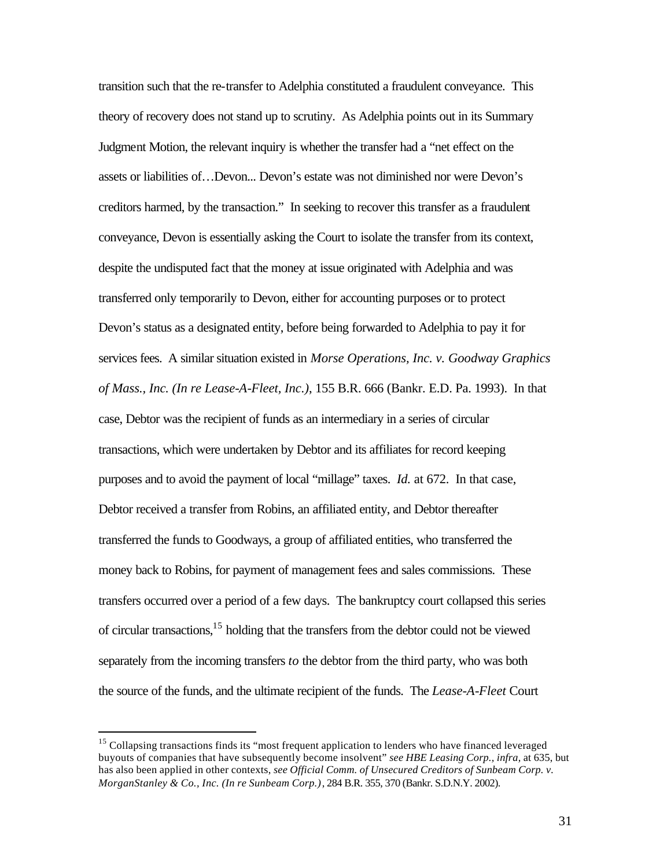transition such that the re-transfer to Adelphia constituted a fraudulent conveyance. This theory of recovery does not stand up to scrutiny. As Adelphia points out in its Summary Judgment Motion, the relevant inquiry is whether the transfer had a "net effect on the assets or liabilities of…Devon... Devon's estate was not diminished nor were Devon's creditors harmed, by the transaction." In seeking to recover this transfer as a fraudulent conveyance, Devon is essentially asking the Court to isolate the transfer from its context, despite the undisputed fact that the money at issue originated with Adelphia and was transferred only temporarily to Devon, either for accounting purposes or to protect Devon's status as a designated entity, before being forwarded to Adelphia to pay it for services fees. A similar situation existed in *Morse Operations, Inc. v. Goodway Graphics of Mass., Inc. (In re Lease-A-Fleet, Inc.)*, 155 B.R. 666 (Bankr. E.D. Pa. 1993). In that case, Debtor was the recipient of funds as an intermediary in a series of circular transactions, which were undertaken by Debtor and its affiliates for record keeping purposes and to avoid the payment of local "millage" taxes. *Id.* at 672. In that case, Debtor received a transfer from Robins, an affiliated entity, and Debtor thereafter transferred the funds to Goodways, a group of affiliated entities, who transferred the money back to Robins, for payment of management fees and sales commissions. These transfers occurred over a period of a few days. The bankruptcy court collapsed this series of circular transactions,<sup>15</sup> holding that the transfers from the debtor could not be viewed separately from the incoming transfers *to* the debtor from the third party, who was both the source of the funds, and the ultimate recipient of the funds. The *Lease-A-Fleet* Court

 $\overline{a}$ 

<sup>&</sup>lt;sup>15</sup> Collapsing transactions finds its "most frequent application to lenders who have financed leveraged buyouts of companies that have subsequently become insolvent" *see HBE Leasing Corp., infra,* at 635, but has also been applied in other contexts, *see Official Comm. of Unsecured Creditors of Sunbeam Corp. v. MorganStanley & Co., Inc. (In re Sunbeam Corp.)*, 284 B.R. 355, 370 (Bankr. S.D.N.Y. 2002).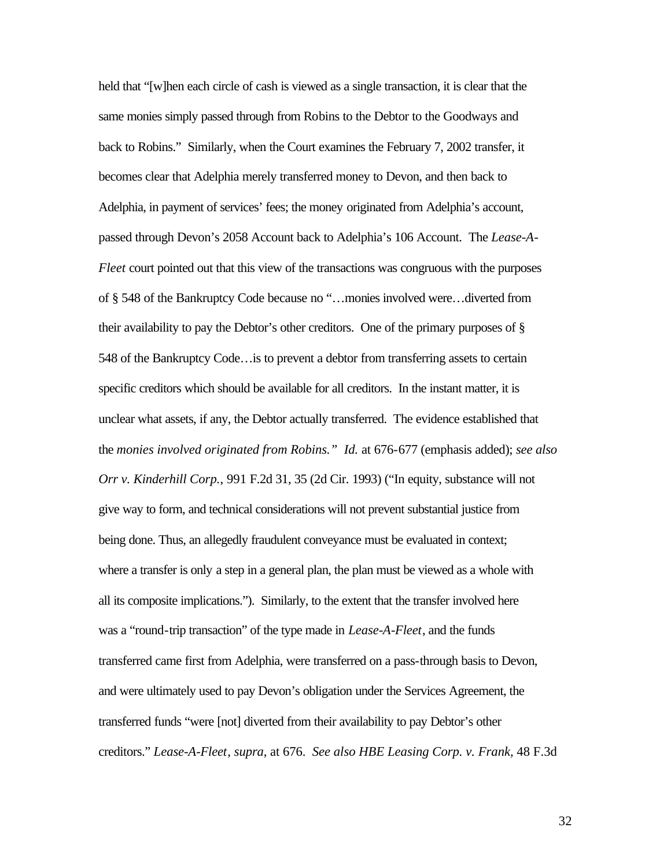held that "[w]hen each circle of cash is viewed as a single transaction, it is clear that the same monies simply passed through from Robins to the Debtor to the Goodways and back to Robins." Similarly, when the Court examines the February 7, 2002 transfer, it becomes clear that Adelphia merely transferred money to Devon, and then back to Adelphia, in payment of services' fees; the money originated from Adelphia's account, passed through Devon's 2058 Account back to Adelphia's 106 Account. The *Lease-A-Fleet* court pointed out that this view of the transactions was congruous with the purposes of § 548 of the Bankruptcy Code because no "…monies involved were…diverted from their availability to pay the Debtor's other creditors. One of the primary purposes of § 548 of the Bankruptcy Code…is to prevent a debtor from transferring assets to certain specific creditors which should be available for all creditors. In the instant matter, it is unclear what assets, if any, the Debtor actually transferred. The evidence established that the *monies involved originated from Robins." Id.* at 676-677 (emphasis added); *see also Orr v. Kinderhill Corp.*, 991 F.2d 31, 35 (2d Cir. 1993) ("In equity, substance will not give way to form, and technical considerations will not prevent substantial justice from being done. Thus, an allegedly fraudulent conveyance must be evaluated in context; where a transfer is only a step in a general plan, the plan must be viewed as a whole with all its composite implications."). Similarly, to the extent that the transfer involved here was a "round-trip transaction" of the type made in *Lease-A-Fleet*, and the funds transferred came first from Adelphia, were transferred on a pass-through basis to Devon, and were ultimately used to pay Devon's obligation under the Services Agreement, the transferred funds "were [not] diverted from their availability to pay Debtor's other creditors." *Lease-A-Fleet*, *supra*, at 676. *See also HBE Leasing Corp. v. Frank,* 48 F.3d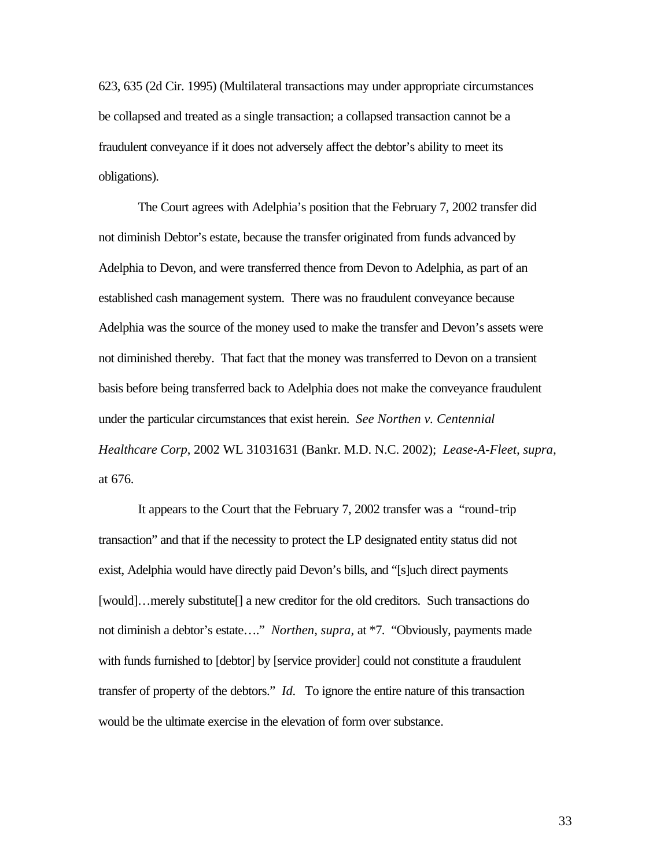623, 635 (2d Cir. 1995) (Multilateral transactions may under appropriate circumstances be collapsed and treated as a single transaction; a collapsed transaction cannot be a fraudulent conveyance if it does not adversely affect the debtor's ability to meet its obligations).

The Court agrees with Adelphia's position that the February 7, 2002 transfer did not diminish Debtor's estate, because the transfer originated from funds advanced by Adelphia to Devon, and were transferred thence from Devon to Adelphia, as part of an established cash management system. There was no fraudulent conveyance because Adelphia was the source of the money used to make the transfer and Devon's assets were not diminished thereby. That fact that the money was transferred to Devon on a transient basis before being transferred back to Adelphia does not make the conveyance fraudulent under the particular circumstances that exist herein. *See Northen v. Centennial Healthcare Corp*, 2002 WL 31031631 (Bankr. M.D. N.C. 2002); *Lease-A-Fleet, supra,*  at 676.

It appears to the Court that the February 7, 2002 transfer was a "round-trip transaction" and that if the necessity to protect the LP designated entity status did not exist, Adelphia would have directly paid Devon's bills, and "[s]uch direct payments [would]…merely substitute[] a new creditor for the old creditors. Such transactions do not diminish a debtor's estate…." *Northen, supra,* at \*7. "Obviously, payments made with funds furnished to [debtor] by [service provider] could not constitute a fraudulent transfer of property of the debtors." *Id*. To ignore the entire nature of this transaction would be the ultimate exercise in the elevation of form over substance.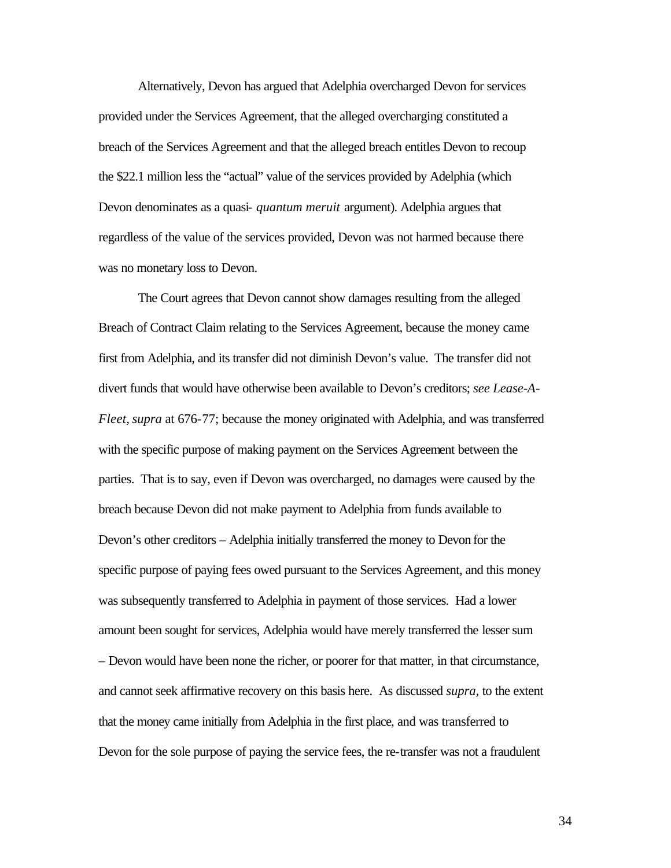Alternatively, Devon has argued that Adelphia overcharged Devon for services provided under the Services Agreement, that the alleged overcharging constituted a breach of the Services Agreement and that the alleged breach entitles Devon to recoup the \$22.1 million less the "actual" value of the services provided by Adelphia (which Devon denominates as a quasi- *quantum meruit* argument). Adelphia argues that regardless of the value of the services provided, Devon was not harmed because there was no monetary loss to Devon.

The Court agrees that Devon cannot show damages resulting from the alleged Breach of Contract Claim relating to the Services Agreement, because the money came first from Adelphia, and its transfer did not diminish Devon's value. The transfer did not divert funds that would have otherwise been available to Devon's creditors; *see Lease-A-Fleet, supra* at 676-77; because the money originated with Adelphia, and was transferred with the specific purpose of making payment on the Services Agreement between the parties. That is to say, even if Devon was overcharged, no damages were caused by the breach because Devon did not make payment to Adelphia from funds available to Devon's other creditors – Adelphia initially transferred the money to Devon for the specific purpose of paying fees owed pursuant to the Services Agreement, and this money was subsequently transferred to Adelphia in payment of those services. Had a lower amount been sought for services, Adelphia would have merely transferred the lesser sum – Devon would have been none the richer, or poorer for that matter, in that circumstance, and cannot seek affirmative recovery on this basis here. As discussed *supra,* to the extent that the money came initially from Adelphia in the first place, and was transferred to Devon for the sole purpose of paying the service fees, the re-transfer was not a fraudulent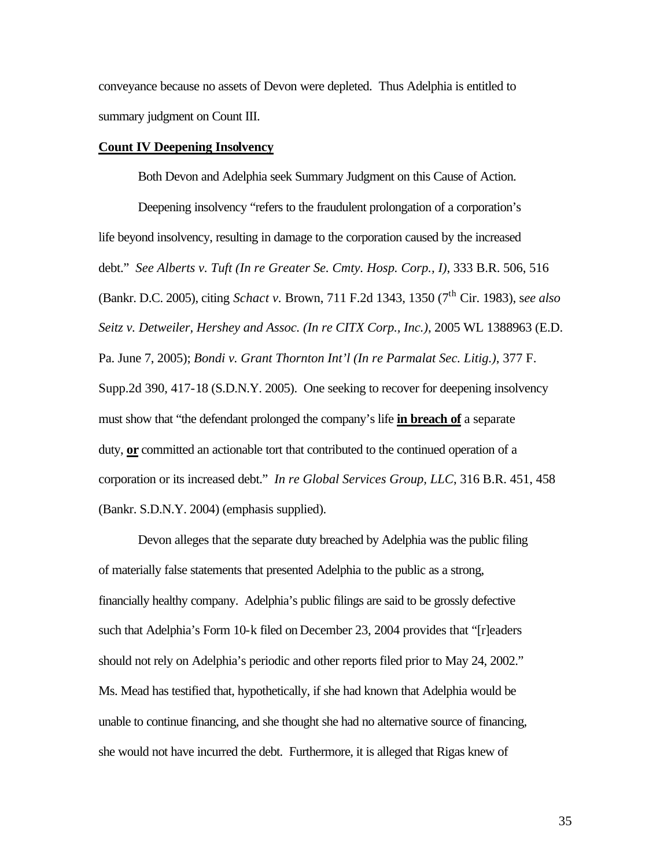conveyance because no assets of Devon were depleted. Thus Adelphia is entitled to summary judgment on Count III.

#### **Count IV Deepening Insolvency**

Both Devon and Adelphia seek Summary Judgment on this Cause of Action.

Deepening insolvency "refers to the fraudulent prolongation of a corporation's life beyond insolvency, resulting in damage to the corporation caused by the increased debt." *See Alberts v. Tuft (In re Greater Se. Cmty. Hosp. Corp., I)*, 333 B.R. 506, 516 (Bankr. D.C. 2005), citing *Schact v.* Brown, 711 F.2d 1343, 1350 (7th Cir. 1983), s*ee also Seitz v. Detweiler, Hershey and Assoc. (In re CITX Corp., Inc.)*, 2005 WL 1388963 (E.D. Pa. June 7, 2005); *Bondi v. Grant Thornton Int'l (In re Parmalat Sec. Litig.)*, 377 F. Supp.2d 390, 417-18 (S.D.N.Y. 2005). One seeking to recover for deepening insolvency must show that "the defendant prolonged the company's life **in breach of** a separate duty, **or** committed an actionable tort that contributed to the continued operation of a corporation or its increased debt." *In re Global Services Group, LLC*, 316 B.R. 451, 458 (Bankr. S.D.N.Y. 2004) (emphasis supplied).

Devon alleges that the separate duty breached by Adelphia was the public filing of materially false statements that presented Adelphia to the public as a strong, financially healthy company. Adelphia's public filings are said to be grossly defective such that Adelphia's Form 10-k filed on December 23, 2004 provides that "[r]eaders should not rely on Adelphia's periodic and other reports filed prior to May 24, 2002." Ms. Mead has testified that, hypothetically, if she had known that Adelphia would be unable to continue financing, and she thought she had no alternative source of financing, she would not have incurred the debt. Furthermore, it is alleged that Rigas knew of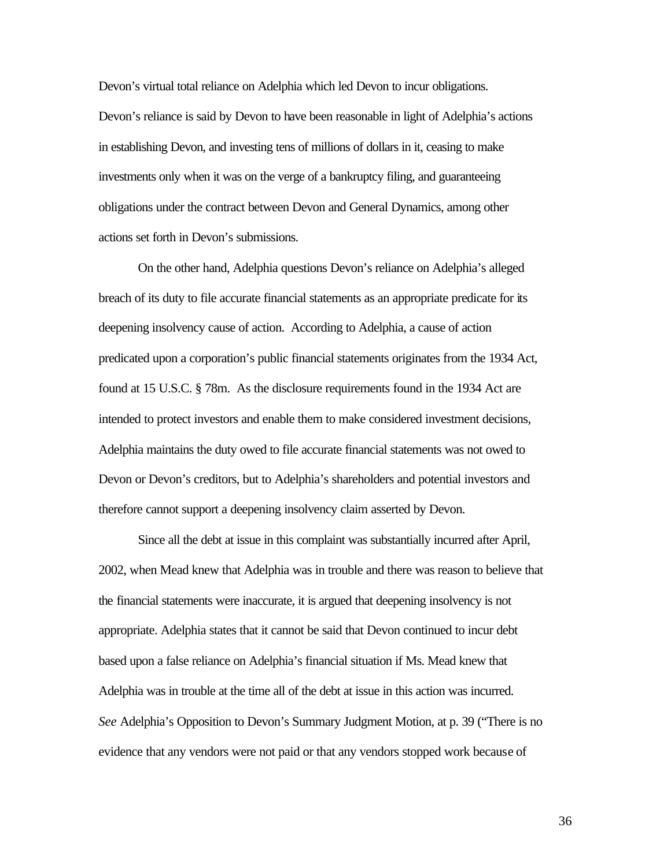Devon's virtual total reliance on Adelphia which led Devon to incur obligations. Devon's reliance is said by Devon to have been reasonable in light of Adelphia's actions in establishing Devon, and investing tens of millions of dollars in it, ceasing to make investments only when it was on the verge of a bankruptcy filing, and guaranteeing obligations under the contract between Devon and General Dynamics, among other actions set forth in Devon's submissions.

On the other hand, Adelphia questions Devon's reliance on Adelphia's alleged breach of its duty to file accurate financial statements as an appropriate predicate for its deepening insolvency cause of action. According to Adelphia, a cause of action predicated upon a corporation's public financial statements originates from the 1934 Act, found at 15 U.S.C. § 78m. As the disclosure requirements found in the 1934 Act are intended to protect investors and enable them to make considered investment decisions, Adelphia maintains the duty owed to file accurate financial statements was not owed to Devon or Devon's creditors, but to Adelphia's shareholders and potential investors and therefore cannot support a deepening insolvency claim asserted by Devon.

Since all the debt at issue in this complaint was substantially incurred after April, 2002, when Mead knew that Adelphia was in trouble and there was reason to believe that the financial statements were inaccurate, it is argued that deepening insolvency is not appropriate. Adelphia states that it cannot be said that Devon continued to incur debt based upon a false reliance on Adelphia's financial situation if Ms. Mead knew that Adelphia was in trouble at the time all of the debt at issue in this action was incurred. *See* Adelphia's Opposition to Devon's Summary Judgment Motion, at p. 39 ("There is no evidence that any vendors were not paid or that any vendors stopped work because of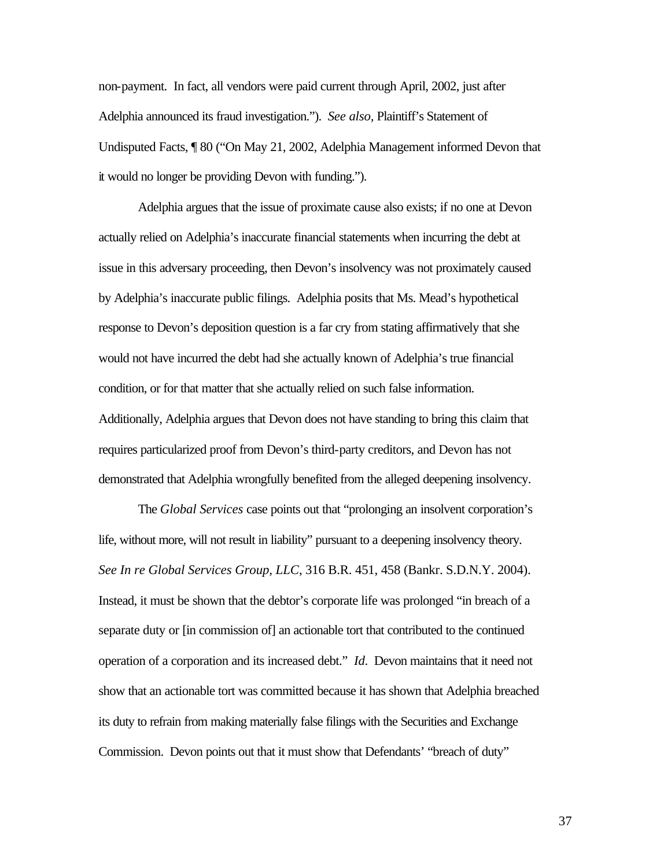non-payment. In fact, all vendors were paid current through April, 2002, just after Adelphia announced its fraud investigation."). *See also,* Plaintiff's Statement of Undisputed Facts, ¶ 80 ("On May 21, 2002, Adelphia Management informed Devon that it would no longer be providing Devon with funding.").

Adelphia argues that the issue of proximate cause also exists; if no one at Devon actually relied on Adelphia's inaccurate financial statements when incurring the debt at issue in this adversary proceeding, then Devon's insolvency was not proximately caused by Adelphia's inaccurate public filings. Adelphia posits that Ms. Mead's hypothetical response to Devon's deposition question is a far cry from stating affirmatively that she would not have incurred the debt had she actually known of Adelphia's true financial condition, or for that matter that she actually relied on such false information. Additionally, Adelphia argues that Devon does not have standing to bring this claim that requires particularized proof from Devon's third-party creditors, and Devon has not demonstrated that Adelphia wrongfully benefited from the alleged deepening insolvency.

The *Global Services* case points out that "prolonging an insolvent corporation's life, without more, will not result in liability" pursuant to a deepening insolvency theory. *See In re Global Services Group, LLC*, 316 B.R. 451, 458 (Bankr. S.D.N.Y. 2004). Instead, it must be shown that the debtor's corporate life was prolonged "in breach of a separate duty or [in commission of] an actionable tort that contributed to the continued operation of a corporation and its increased debt." *Id*. Devon maintains that it need not show that an actionable tort was committed because it has shown that Adelphia breached its duty to refrain from making materially false filings with the Securities and Exchange Commission. Devon points out that it must show that Defendants' "breach of duty"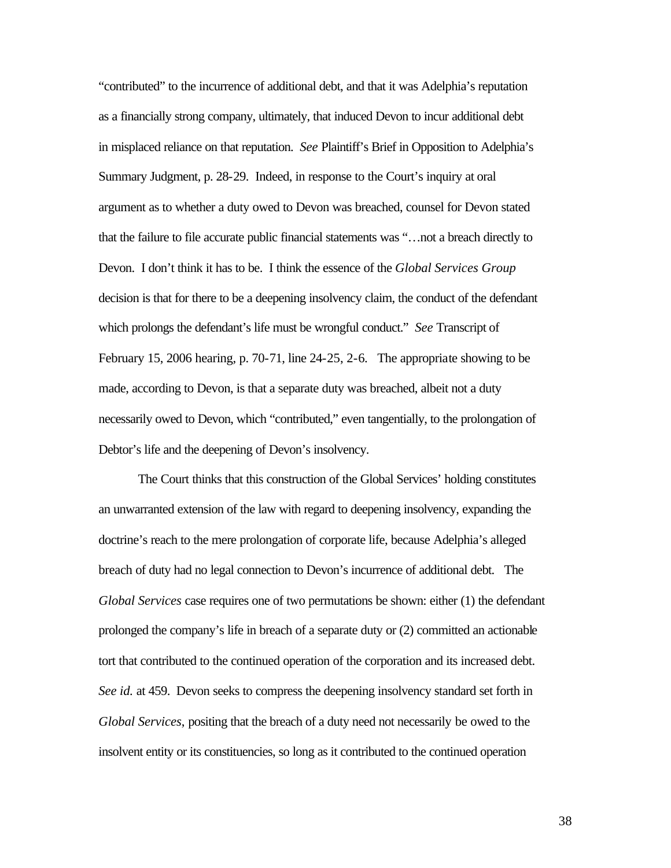"contributed" to the incurrence of additional debt, and that it was Adelphia's reputation as a financially strong company, ultimately, that induced Devon to incur additional debt in misplaced reliance on that reputation. *See* Plaintiff's Brief in Opposition to Adelphia's Summary Judgment, p. 28-29. Indeed, in response to the Court's inquiry at oral argument as to whether a duty owed to Devon was breached, counsel for Devon stated that the failure to file accurate public financial statements was "…not a breach directly to Devon. I don't think it has to be. I think the essence of the *Global Services Group* decision is that for there to be a deepening insolvency claim, the conduct of the defendant which prolongs the defendant's life must be wrongful conduct." *See* Transcript of February 15, 2006 hearing, p. 70-71, line 24-25, 2-6. The appropriate showing to be made, according to Devon, is that a separate duty was breached, albeit not a duty necessarily owed to Devon, which "contributed," even tangentially, to the prolongation of Debtor's life and the deepening of Devon's insolvency.

The Court thinks that this construction of the Global Services' holding constitutes an unwarranted extension of the law with regard to deepening insolvency, expanding the doctrine's reach to the mere prolongation of corporate life, because Adelphia's alleged breach of duty had no legal connection to Devon's incurrence of additional debt. The *Global Services* case requires one of two permutations be shown: either (1) the defendant prolonged the company's life in breach of a separate duty or (2) committed an actionable tort that contributed to the continued operation of the corporation and its increased debt. *See id.* at 459. Devon seeks to compress the deepening insolvency standard set forth in *Global Services*, positing that the breach of a duty need not necessarily be owed to the insolvent entity or its constituencies, so long as it contributed to the continued operation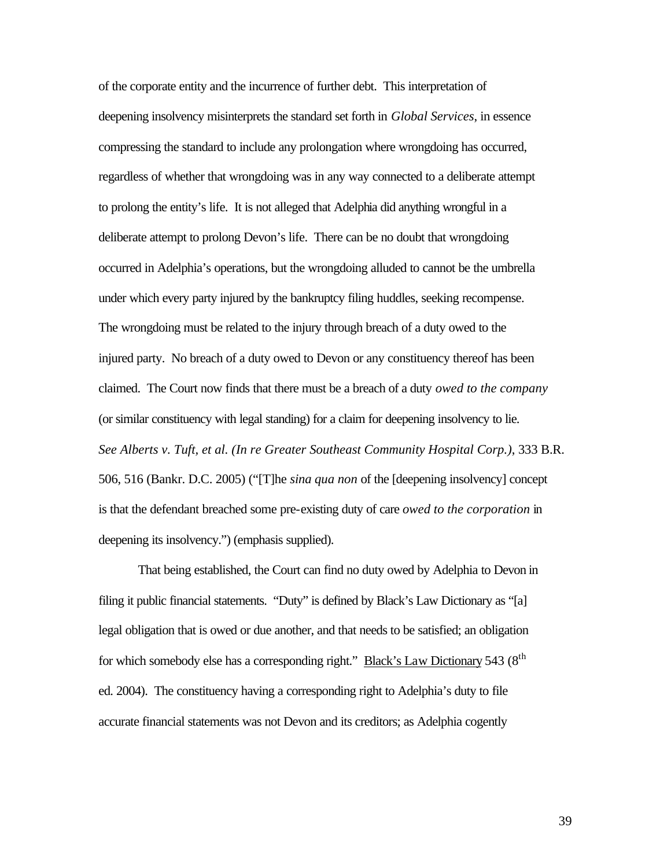of the corporate entity and the incurrence of further debt. This interpretation of deepening insolvency misinterprets the standard set forth in *Global Services*, in essence compressing the standard to include any prolongation where wrongdoing has occurred, regardless of whether that wrongdoing was in any way connected to a deliberate attempt to prolong the entity's life. It is not alleged that Adelphia did anything wrongful in a deliberate attempt to prolong Devon's life. There can be no doubt that wrongdoing occurred in Adelphia's operations, but the wrongdoing alluded to cannot be the umbrella under which every party injured by the bankruptcy filing huddles, seeking recompense. The wrongdoing must be related to the injury through breach of a duty owed to the injured party. No breach of a duty owed to Devon or any constituency thereof has been claimed. The Court now finds that there must be a breach of a duty *owed to the company* (or similar constituency with legal standing) for a claim for deepening insolvency to lie. *See Alberts v. Tuft, et al. (In re Greater Southeast Community Hospital Corp.)*, 333 B.R. 506, 516 (Bankr. D.C. 2005) ("[T]he *sina qua non* of the [deepening insolvency] concept is that the defendant breached some pre-existing duty of care *owed to the corporation* in deepening its insolvency.") (emphasis supplied).

That being established, the Court can find no duty owed by Adelphia to Devon in filing it public financial statements. "Duty" is defined by Black's Law Dictionary as "[a] legal obligation that is owed or due another, and that needs to be satisfied; an obligation for which somebody else has a corresponding right." Black's Law Dictionary 543 ( $8<sup>th</sup>$ ed. 2004). The constituency having a corresponding right to Adelphia's duty to file accurate financial statements was not Devon and its creditors; as Adelphia cogently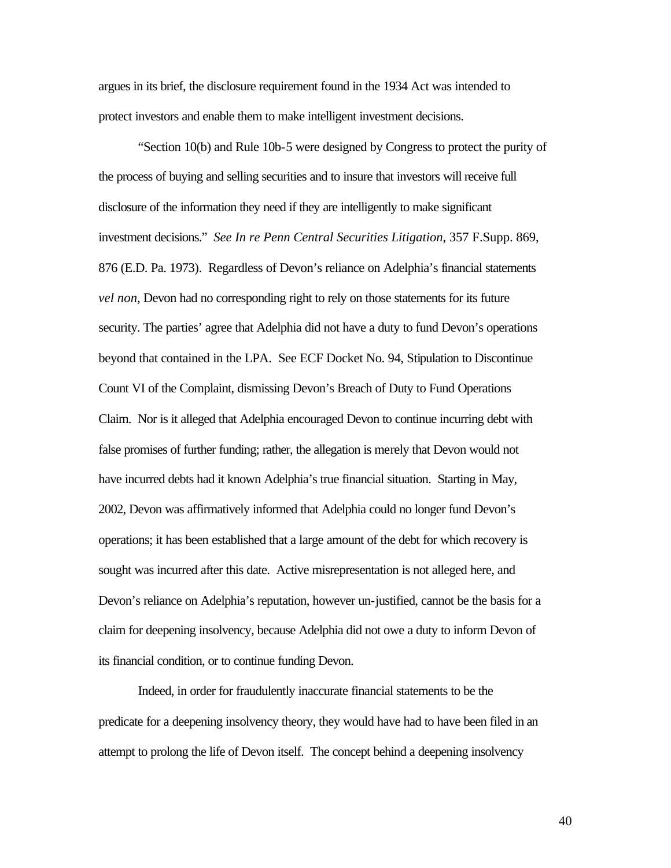argues in its brief, the disclosure requirement found in the 1934 Act was intended to protect investors and enable them to make intelligent investment decisions.

"Section 10(b) and Rule 10b-5 were designed by Congress to protect the purity of the process of buying and selling securities and to insure that investors will receive full disclosure of the information they need if they are intelligently to make significant investment decisions." *See In re Penn Central Securities Litigation*, 357 F.Supp. 869, 876 (E.D. Pa. 1973). Regardless of Devon's reliance on Adelphia's financial statements *vel non*, Devon had no corresponding right to rely on those statements for its future security. The parties' agree that Adelphia did not have a duty to fund Devon's operations beyond that contained in the LPA. See ECF Docket No. 94, Stipulation to Discontinue Count VI of the Complaint, dismissing Devon's Breach of Duty to Fund Operations Claim. Nor is it alleged that Adelphia encouraged Devon to continue incurring debt with false promises of further funding; rather, the allegation is merely that Devon would not have incurred debts had it known Adelphia's true financial situation. Starting in May, 2002, Devon was affirmatively informed that Adelphia could no longer fund Devon's operations; it has been established that a large amount of the debt for which recovery is sought was incurred after this date. Active misrepresentation is not alleged here, and Devon's reliance on Adelphia's reputation, however un-justified, cannot be the basis for a claim for deepening insolvency, because Adelphia did not owe a duty to inform Devon of its financial condition, or to continue funding Devon.

Indeed, in order for fraudulently inaccurate financial statements to be the predicate for a deepening insolvency theory, they would have had to have been filed in an attempt to prolong the life of Devon itself. The concept behind a deepening insolvency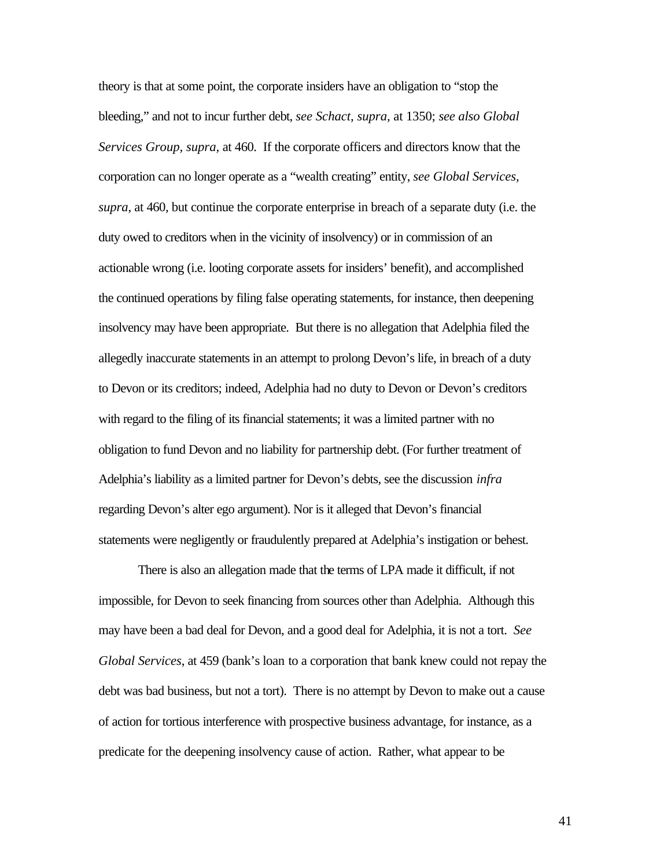theory is that at some point, the corporate insiders have an obligation to "stop the bleeding," and not to incur further debt, *see Schact, supra,* at 1350; *see also Global Services Group, supra,* at 460. If the corporate officers and directors know that the corporation can no longer operate as a "wealth creating" entity, *see Global Services, supra*, at 460, but continue the corporate enterprise in breach of a separate duty (i.e. the duty owed to creditors when in the vicinity of insolvency) or in commission of an actionable wrong (i.e. looting corporate assets for insiders' benefit), and accomplished the continued operations by filing false operating statements, for instance, then deepening insolvency may have been appropriate. But there is no allegation that Adelphia filed the allegedly inaccurate statements in an attempt to prolong Devon's life, in breach of a duty to Devon or its creditors; indeed, Adelphia had no duty to Devon or Devon's creditors with regard to the filing of its financial statements; it was a limited partner with no obligation to fund Devon and no liability for partnership debt. (For further treatment of Adelphia's liability as a limited partner for Devon's debts, see the discussion *infra*  regarding Devon's alter ego argument). Nor is it alleged that Devon's financial statements were negligently or fraudulently prepared at Adelphia's instigation or behest.

There is also an allegation made that the terms of LPA made it difficult, if not impossible, for Devon to seek financing from sources other than Adelphia. Although this may have been a bad deal for Devon, and a good deal for Adelphia, it is not a tort. *See Global Services*, at 459 (bank's loan to a corporation that bank knew could not repay the debt was bad business, but not a tort). There is no attempt by Devon to make out a cause of action for tortious interference with prospective business advantage, for instance, as a predicate for the deepening insolvency cause of action. Rather, what appear to be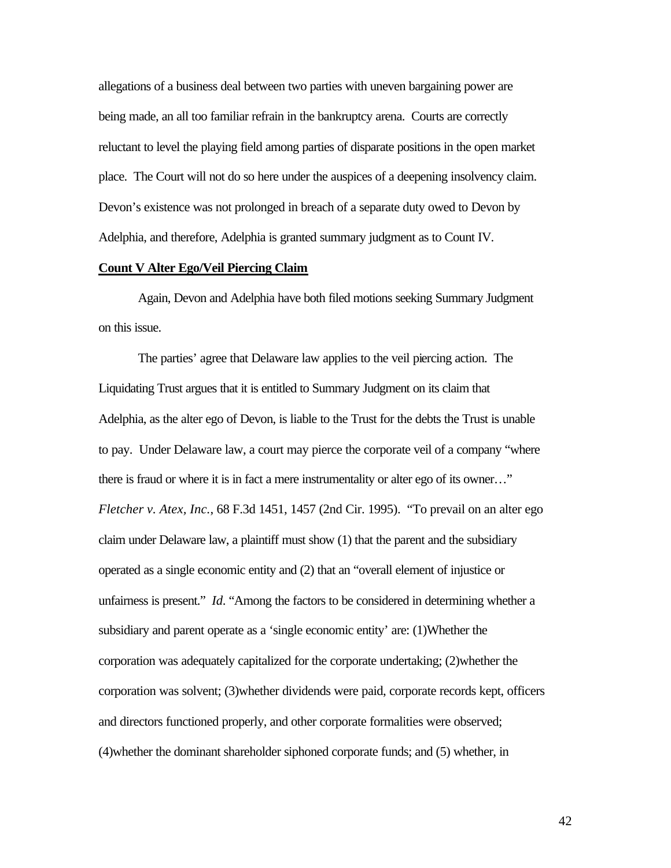allegations of a business deal between two parties with uneven bargaining power are being made, an all too familiar refrain in the bankruptcy arena. Courts are correctly reluctant to level the playing field among parties of disparate positions in the open market place. The Court will not do so here under the auspices of a deepening insolvency claim. Devon's existence was not prolonged in breach of a separate duty owed to Devon by Adelphia, and therefore, Adelphia is granted summary judgment as to Count IV.

## **Count V Alter Ego/Veil Piercing Claim**

Again, Devon and Adelphia have both filed motions seeking Summary Judgment on this issue.

The parties' agree that Delaware law applies to the veil piercing action. The Liquidating Trust argues that it is entitled to Summary Judgment on its claim that Adelphia, as the alter ego of Devon, is liable to the Trust for the debts the Trust is unable to pay. Under Delaware law, a court may pierce the corporate veil of a company "where there is fraud or where it is in fact a mere instrumentality or alter ego of its owner…" *Fletcher v. Atex, Inc.*, 68 F.3d 1451, 1457 (2nd Cir. 1995). "To prevail on an alter ego claim under Delaware law, a plaintiff must show (1) that the parent and the subsidiary operated as a single economic entity and (2) that an "overall element of injustice or unfairness is present." *Id*. "Among the factors to be considered in determining whether a subsidiary and parent operate as a 'single economic entity' are: (1)Whether the corporation was adequately capitalized for the corporate undertaking; (2)whether the corporation was solvent; (3)whether dividends were paid, corporate records kept, officers and directors functioned properly, and other corporate formalities were observed; (4)whether the dominant shareholder siphoned corporate funds; and (5) whether, in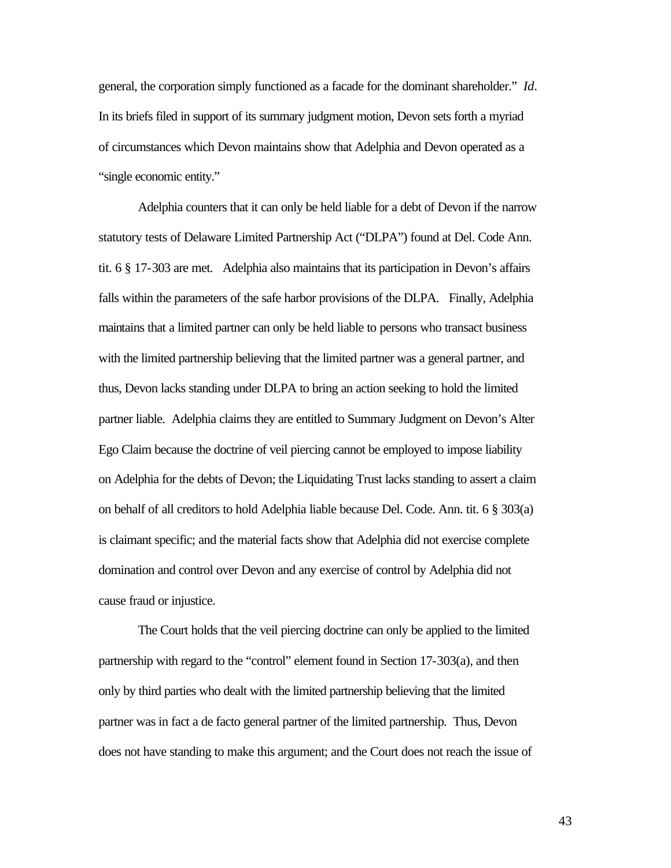general, the corporation simply functioned as a facade for the dominant shareholder." *Id*. In its briefs filed in support of its summary judgment motion, Devon sets forth a myriad of circumstances which Devon maintains show that Adelphia and Devon operated as a "single economic entity."

Adelphia counters that it can only be held liable for a debt of Devon if the narrow statutory tests of Delaware Limited Partnership Act ("DLPA") found at Del. Code Ann. tit. 6 § 17-303 are met. Adelphia also maintains that its participation in Devon's affairs falls within the parameters of the safe harbor provisions of the DLPA. Finally, Adelphia maintains that a limited partner can only be held liable to persons who transact business with the limited partnership believing that the limited partner was a general partner, and thus, Devon lacks standing under DLPA to bring an action seeking to hold the limited partner liable. Adelphia claims they are entitled to Summary Judgment on Devon's Alter Ego Claim because the doctrine of veil piercing cannot be employed to impose liability on Adelphia for the debts of Devon; the Liquidating Trust lacks standing to assert a claim on behalf of all creditors to hold Adelphia liable because Del. Code. Ann. tit. 6 § 303(a) is claimant specific; and the material facts show that Adelphia did not exercise complete domination and control over Devon and any exercise of control by Adelphia did not cause fraud or injustice.

The Court holds that the veil piercing doctrine can only be applied to the limited partnership with regard to the "control" element found in Section 17-303(a), and then only by third parties who dealt with the limited partnership believing that the limited partner was in fact a de facto general partner of the limited partnership. Thus, Devon does not have standing to make this argument; and the Court does not reach the issue of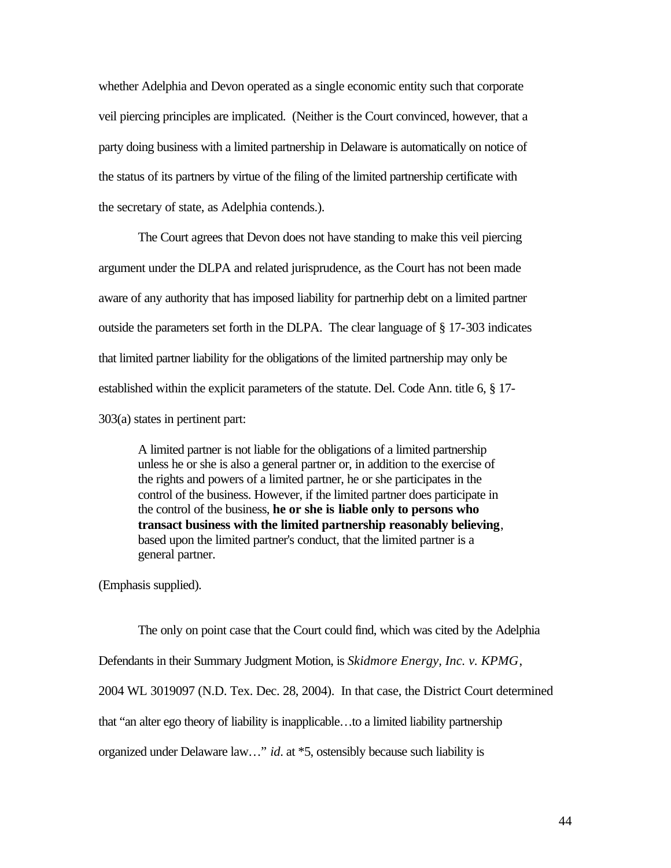whether Adelphia and Devon operated as a single economic entity such that corporate veil piercing principles are implicated. (Neither is the Court convinced, however, that a party doing business with a limited partnership in Delaware is automatically on notice of the status of its partners by virtue of the filing of the limited partnership certificate with the secretary of state, as Adelphia contends.).

The Court agrees that Devon does not have standing to make this veil piercing argument under the DLPA and related jurisprudence, as the Court has not been made aware of any authority that has imposed liability for partnerhip debt on a limited partner outside the parameters set forth in the DLPA. The clear language of § 17-303 indicates that limited partner liability for the obligations of the limited partnership may only be established within the explicit parameters of the statute. Del. Code Ann. title 6, § 17- 303(a) states in pertinent part:

A limited partner is not liable for the obligations of a limited partnership unless he or she is also a general partner or, in addition to the exercise of the rights and powers of a limited partner, he or she participates in the control of the business. However, if the limited partner does participate in the control of the business, **he or she is liable only to persons who transact business with the limited partnership reasonably believing**, based upon the limited partner's conduct, that the limited partner is a general partner.

(Emphasis supplied).

The only on point case that the Court could find, which was cited by the Adelphia Defendants in their Summary Judgment Motion, is *Skidmore Energy, Inc. v. KPMG*, 2004 WL 3019097 (N.D. Tex. Dec. 28, 2004). In that case, the District Court determined that "an alter ego theory of liability is inapplicable…to a limited liability partnership organized under Delaware law…" *id*. at \*5, ostensibly because such liability is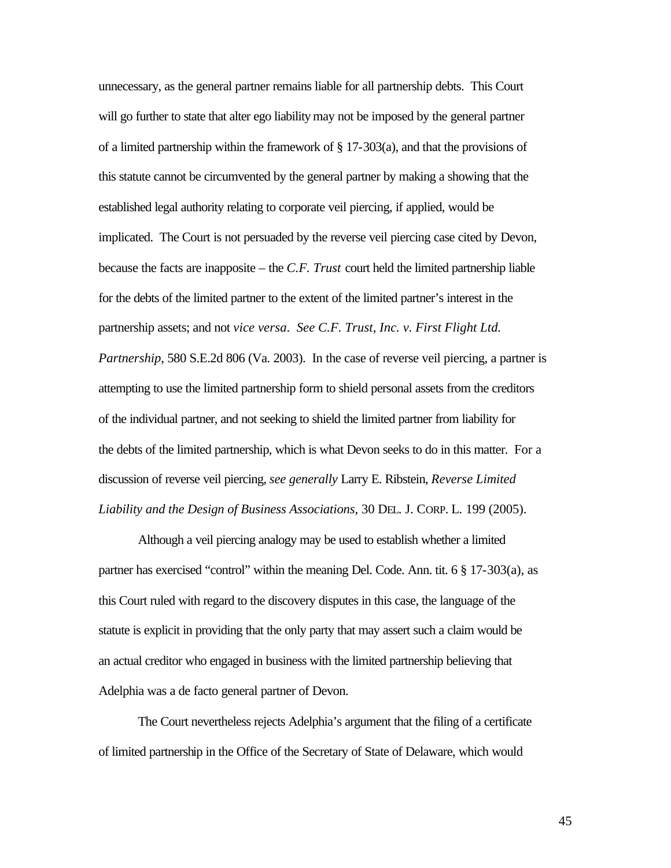unnecessary, as the general partner remains liable for all partnership debts. This Court will go further to state that alter ego liability may not be imposed by the general partner of a limited partnership within the framework of  $\S$  17-303(a), and that the provisions of this statute cannot be circumvented by the general partner by making a showing that the established legal authority relating to corporate veil piercing, if applied, would be implicated. The Court is not persuaded by the reverse veil piercing case cited by Devon, because the facts are inapposite – the *C.F. Trust* court held the limited partnership liable for the debts of the limited partner to the extent of the limited partner's interest in the partnership assets; and not *vice versa*. *See C.F. Trust, Inc. v. First Flight Ltd. Partnership*, 580 S.E.2d 806 (Va. 2003). In the case of reverse veil piercing, a partner is attempting to use the limited partnership form to shield personal assets from the creditors of the individual partner, and not seeking to shield the limited partner from liability for the debts of the limited partnership, which is what Devon seeks to do in this matter. For a discussion of reverse veil piercing, *see generally* Larry E. Ribstein, *Reverse Limited Liability and the Design of Business Associations*, 30 DEL. J. CORP. L. 199 (2005).

Although a veil piercing analogy may be used to establish whether a limited partner has exercised "control" within the meaning Del. Code. Ann. tit. 6 § 17-303(a), as this Court ruled with regard to the discovery disputes in this case, the language of the statute is explicit in providing that the only party that may assert such a claim would be an actual creditor who engaged in business with the limited partnership believing that Adelphia was a de facto general partner of Devon.

The Court nevertheless rejects Adelphia's argument that the filing of a certificate of limited partnership in the Office of the Secretary of State of Delaware, which would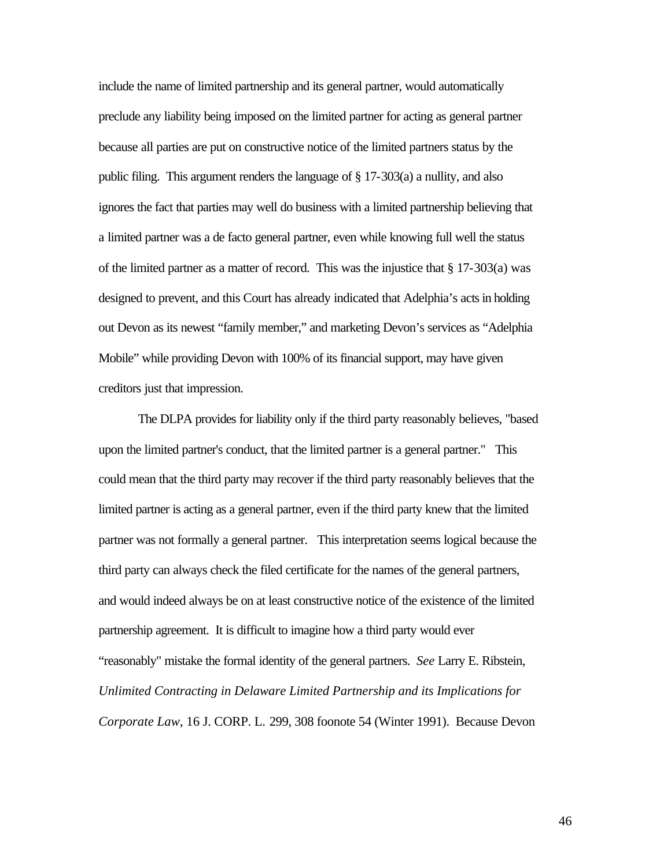include the name of limited partnership and its general partner, would automatically preclude any liability being imposed on the limited partner for acting as general partner because all parties are put on constructive notice of the limited partners status by the public filing. This argument renders the language of § 17-303(a) a nullity, and also ignores the fact that parties may well do business with a limited partnership believing that a limited partner was a de facto general partner, even while knowing full well the status of the limited partner as a matter of record. This was the injustice that  $\S 17-303(a)$  was designed to prevent, and this Court has already indicated that Adelphia's acts in holding out Devon as its newest "family member," and marketing Devon's services as "Adelphia Mobile" while providing Devon with 100% of its financial support, may have given creditors just that impression.

The DLPA provides for liability only if the third party reasonably believes, "based upon the limited partner's conduct, that the limited partner is a general partner." This could mean that the third party may recover if the third party reasonably believes that the limited partner is acting as a general partner, even if the third party knew that the limited partner was not formally a general partner. This interpretation seems logical because the third party can always check the filed certificate for the names of the general partners, and would indeed always be on at least constructive notice of the existence of the limited partnership agreement. It is difficult to imagine how a third party would ever "reasonably" mistake the formal identity of the general partners. *See* Larry E. Ribstein, *Unlimited Contracting in Delaware Limited Partnership and its Implications for Corporate Law*, 16 J. CORP. L. 299, 308 foonote 54 (Winter 1991). Because Devon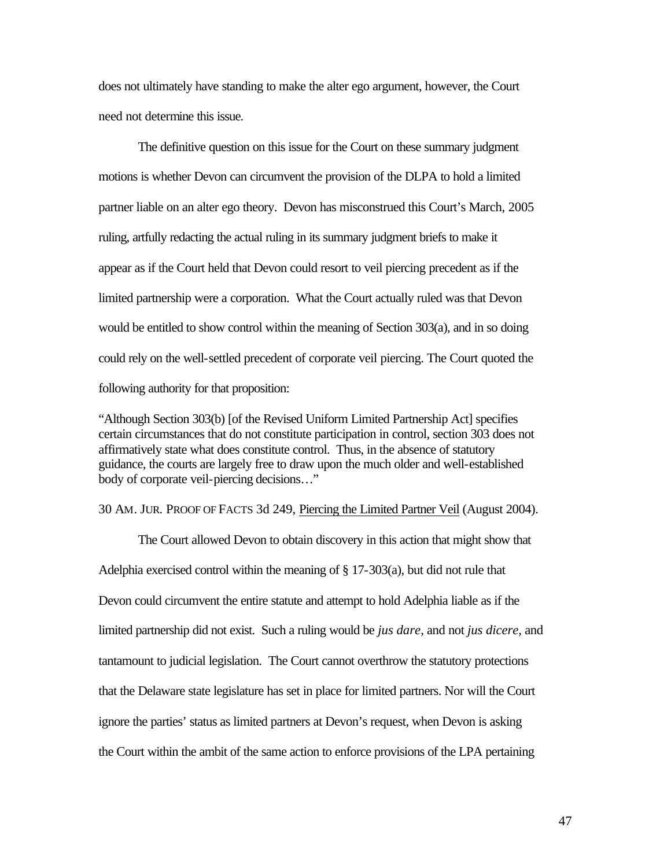does not ultimately have standing to make the alter ego argument, however, the Court need not determine this issue.

The definitive question on this issue for the Court on these summary judgment motions is whether Devon can circumvent the provision of the DLPA to hold a limited partner liable on an alter ego theory. Devon has misconstrued this Court's March, 2005 ruling, artfully redacting the actual ruling in its summary judgment briefs to make it appear as if the Court held that Devon could resort to veil piercing precedent as if the limited partnership were a corporation. What the Court actually ruled was that Devon would be entitled to show control within the meaning of Section 303(a), and in so doing could rely on the well-settled precedent of corporate veil piercing. The Court quoted the following authority for that proposition:

"Although Section 303(b) [of the Revised Uniform Limited Partnership Act] specifies certain circumstances that do not constitute participation in control, section 303 does not affirmatively state what does constitute control. Thus, in the absence of statutory guidance, the courts are largely free to draw upon the much older and well-established body of corporate veil-piercing decisions…"

#### 30 AM. JUR. PROOF OF FACTS 3d 249, Piercing the Limited Partner Veil (August 2004).

The Court allowed Devon to obtain discovery in this action that might show that Adelphia exercised control within the meaning of § 17-303(a), but did not rule that Devon could circumvent the entire statute and attempt to hold Adelphia liable as if the limited partnership did not exist. Such a ruling would be *jus dare*, and not *jus dicere*, and tantamount to judicial legislation. The Court cannot overthrow the statutory protections that the Delaware state legislature has set in place for limited partners. Nor will the Court ignore the parties' status as limited partners at Devon's request, when Devon is asking the Court within the ambit of the same action to enforce provisions of the LPA pertaining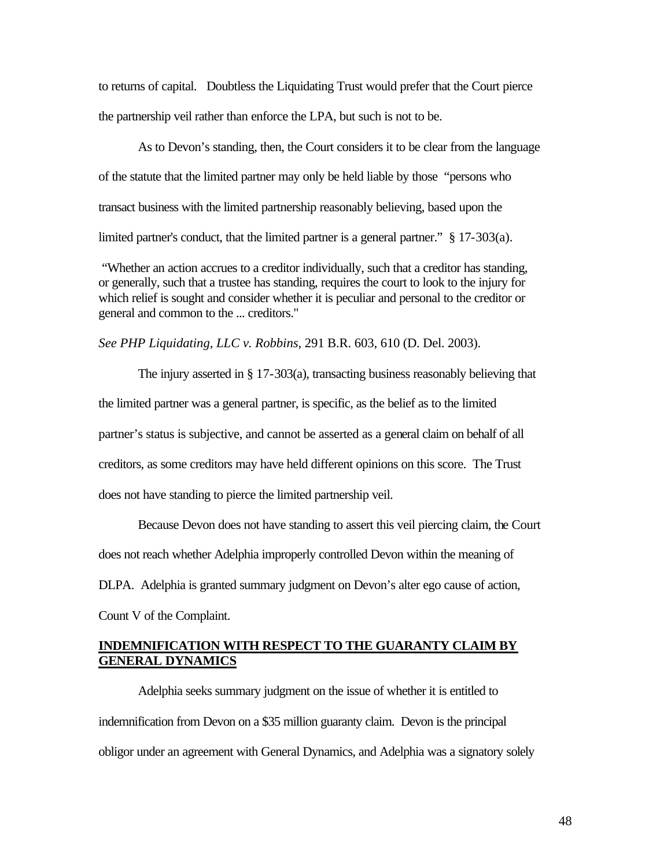to returns of capital. Doubtless the Liquidating Trust would prefer that the Court pierce the partnership veil rather than enforce the LPA, but such is not to be.

As to Devon's standing, then, the Court considers it to be clear from the language of the statute that the limited partner may only be held liable by those "persons who transact business with the limited partnership reasonably believing, based upon the limited partner's conduct, that the limited partner is a general partner." § 17-303(a).

 "Whether an action accrues to a creditor individually, such that a creditor has standing, or generally, such that a trustee has standing, requires the court to look to the injury for which relief is sought and consider whether it is peculiar and personal to the creditor or general and common to the ... creditors."

*See PHP Liquidating, LLC v. Robbins*, 291 B.R. 603, 610 (D. Del. 2003).

The injury asserted in § 17-303(a), transacting business reasonably believing that the limited partner was a general partner, is specific, as the belief as to the limited partner's status is subjective, and cannot be asserted as a general claim on behalf of all creditors, as some creditors may have held different opinions on this score. The Trust does not have standing to pierce the limited partnership veil.

Because Devon does not have standing to assert this veil piercing claim, the Court does not reach whether Adelphia improperly controlled Devon within the meaning of DLPA. Adelphia is granted summary judgment on Devon's alter ego cause of action, Count V of the Complaint.

# **INDEMNIFICATION WITH RESPECT TO THE GUARANTY CLAIM BY GENERAL DYNAMICS**

Adelphia seeks summary judgment on the issue of whether it is entitled to indemnification from Devon on a \$35 million guaranty claim. Devon is the principal obligor under an agreement with General Dynamics, and Adelphia was a signatory solely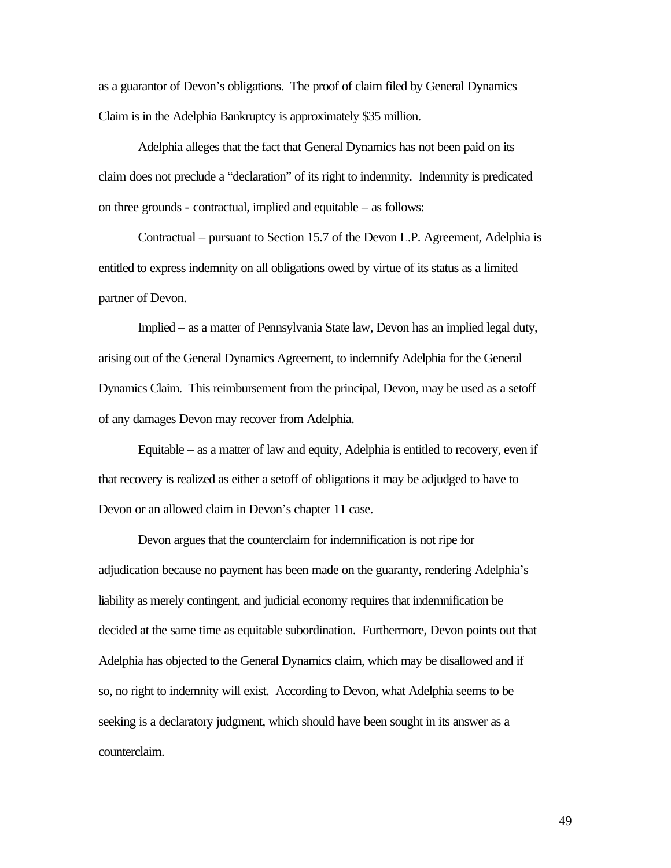as a guarantor of Devon's obligations. The proof of claim filed by General Dynamics Claim is in the Adelphia Bankruptcy is approximately \$35 million.

Adelphia alleges that the fact that General Dynamics has not been paid on its claim does not preclude a "declaration" of its right to indemnity. Indemnity is predicated on three grounds - contractual, implied and equitable – as follows:

Contractual – pursuant to Section 15.7 of the Devon L.P. Agreement, Adelphia is entitled to express indemnity on all obligations owed by virtue of its status as a limited partner of Devon.

Implied – as a matter of Pennsylvania State law, Devon has an implied legal duty, arising out of the General Dynamics Agreement, to indemnify Adelphia for the General Dynamics Claim. This reimbursement from the principal, Devon, may be used as a setoff of any damages Devon may recover from Adelphia.

Equitable – as a matter of law and equity, Adelphia is entitled to recovery, even if that recovery is realized as either a setoff of obligations it may be adjudged to have to Devon or an allowed claim in Devon's chapter 11 case.

Devon argues that the counterclaim for indemnification is not ripe for adjudication because no payment has been made on the guaranty, rendering Adelphia's liability as merely contingent, and judicial economy requires that indemnification be decided at the same time as equitable subordination. Furthermore, Devon points out that Adelphia has objected to the General Dynamics claim, which may be disallowed and if so, no right to indemnity will exist. According to Devon, what Adelphia seems to be seeking is a declaratory judgment, which should have been sought in its answer as a counterclaim.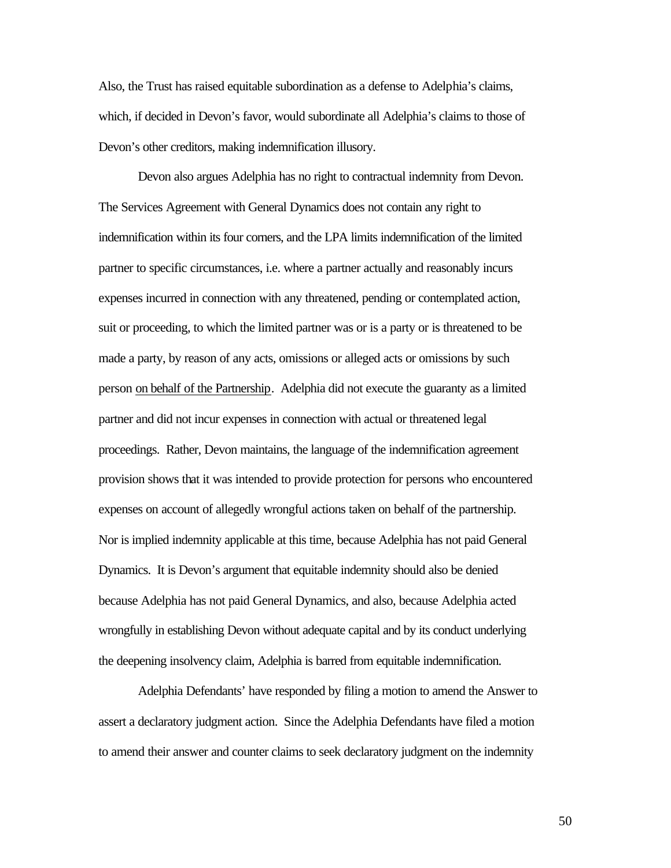Also, the Trust has raised equitable subordination as a defense to Adelphia's claims, which, if decided in Devon's favor, would subordinate all Adelphia's claims to those of Devon's other creditors, making indemnification illusory.

Devon also argues Adelphia has no right to contractual indemnity from Devon. The Services Agreement with General Dynamics does not contain any right to indemnification within its four corners, and the LPA limits indemnification of the limited partner to specific circumstances, i.e. where a partner actually and reasonably incurs expenses incurred in connection with any threatened, pending or contemplated action, suit or proceeding, to which the limited partner was or is a party or is threatened to be made a party, by reason of any acts, omissions or alleged acts or omissions by such person on behalf of the Partnership. Adelphia did not execute the guaranty as a limited partner and did not incur expenses in connection with actual or threatened legal proceedings. Rather, Devon maintains, the language of the indemnification agreement provision shows that it was intended to provide protection for persons who encountered expenses on account of allegedly wrongful actions taken on behalf of the partnership. Nor is implied indemnity applicable at this time, because Adelphia has not paid General Dynamics. It is Devon's argument that equitable indemnity should also be denied because Adelphia has not paid General Dynamics, and also, because Adelphia acted wrongfully in establishing Devon without adequate capital and by its conduct underlying the deepening insolvency claim, Adelphia is barred from equitable indemnification.

Adelphia Defendants' have responded by filing a motion to amend the Answer to assert a declaratory judgment action. Since the Adelphia Defendants have filed a motion to amend their answer and counter claims to seek declaratory judgment on the indemnity